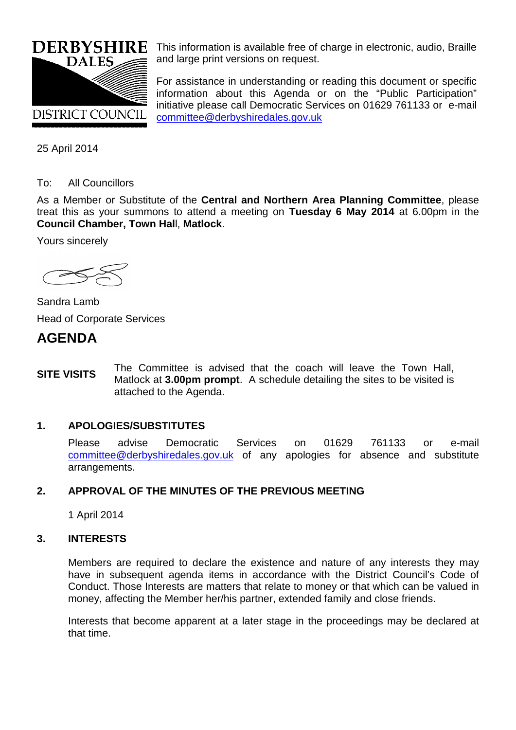

This information is available free of charge in electronic, audio, Braille and large print versions on request.

For assistance in understanding or reading this document or specific information about this Agenda or on the "Public Participation" initiative please call Democratic Services on 01629 761133 or e-mail [committee@derbyshiredales.gov.uk](mailto:chris.laver@derbyshiredales.gov.uk)

25 April 2014

# To: All Councillors

As a Member or Substitute of the **Central and Northern Area Planning Committee**, please treat this as your summons to attend a meeting on **Tuesday 6 May 2014** at 6.00pm in the **Council Chamber, Town Hal**l, **Matlock**.

Yours sincerely



Sandra Lamb Head of Corporate Services

# **AGENDA**

**SITE VISITS** The Committee is advised that the coach will leave the Town Hall, Matlock at **3.00pm prompt**. A schedule detailing the sites to be visited is attached to the Agenda.

# **1. APOLOGIES/SUBSTITUTES**

Please advise Democratic Services on 01629 761133 or e-mail [committee@derbyshiredales.gov.uk](mailto:chris.laver@derbyshiredales.gov.uk) of any apologies for absence and substitute arrangements.

# **2. APPROVAL OF THE MINUTES OF THE PREVIOUS MEETING**

1 April 2014

# **3. INTERESTS**

Members are required to declare the existence and nature of any interests they may have in subsequent agenda items in accordance with the District Council's Code of Conduct. Those Interests are matters that relate to money or that which can be valued in money, affecting the Member her/his partner, extended family and close friends.

Interests that become apparent at a later stage in the proceedings may be declared at that time.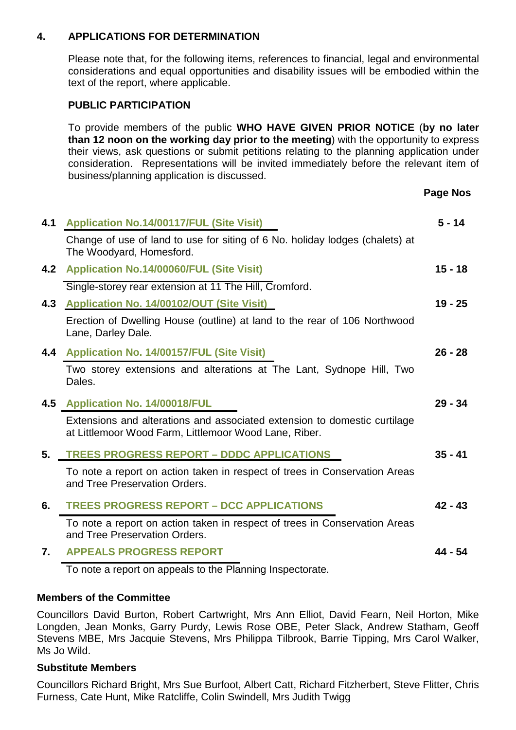# **4. APPLICATIONS FOR DETERMINATION**

Please note that, for the following items, references to financial, legal and environmental considerations and equal opportunities and disability issues will be embodied within the text of the report, where applicable.

# **PUBLIC PARTICIPATION**

To provide members of the public **WHO HAVE GIVEN PRIOR NOTICE** (**by no later than 12 noon on the working day prior to the meeting**) with the opportunity to express their views, ask questions or submit petitions relating to the planning application under consideration. Representations will be invited immediately before the relevant item of business/planning application is discussed.

**Page Nos**

| 4.1 | <b>Application No.14/00117/FUL (Site Visit)</b>                                                                                    | $5 - 14$  |
|-----|------------------------------------------------------------------------------------------------------------------------------------|-----------|
|     | Change of use of land to use for siting of 6 No. holiday lodges (chalets) at<br>The Woodyard, Homesford.                           |           |
| 4.2 | <b>Application No.14/00060/FUL (Site Visit)</b>                                                                                    | $15 - 18$ |
|     | Single-storey rear extension at 11 The Hill, Cromford.                                                                             |           |
| 4.3 | Application No. 14/00102/OUT (Site Visit)                                                                                          | $19 - 25$ |
|     | Erection of Dwelling House (outline) at land to the rear of 106 Northwood<br>Lane, Darley Dale.                                    |           |
|     | 4.4 Application No. 14/00157/FUL (Site Visit)                                                                                      | $26 - 28$ |
|     | Two storey extensions and alterations at The Lant, Sydnope Hill, Two<br>Dales.                                                     |           |
| 4.5 | <b>Application No. 14/00018/FUL</b>                                                                                                | $29 - 34$ |
|     | Extensions and alterations and associated extension to domestic curtilage<br>at Littlemoor Wood Farm, Littlemoor Wood Lane, Riber. |           |
| 5.  | <b>TREES PROGRESS REPORT - DDDC APPLICATIONS</b>                                                                                   | $35 - 41$ |
|     | To note a report on action taken in respect of trees in Conservation Areas<br>and Tree Preservation Orders.                        |           |
| 6.  | <b>TREES PROGRESS REPORT - DCC APPLICATIONS</b>                                                                                    | $42 - 43$ |
|     | To note a report on action taken in respect of trees in Conservation Areas<br>and Tree Preservation Orders.                        |           |
| 7.  | <b>APPEALS PROGRESS REPORT</b>                                                                                                     | 44 - 54   |
|     |                                                                                                                                    |           |

To note a report on appeals to the Planning Inspectorate.

# **Members of the Committee**

Councillors David Burton, Robert Cartwright, Mrs Ann Elliot, David Fearn, Neil Horton, Mike Longden, Jean Monks, Garry Purdy, Lewis Rose OBE, Peter Slack, Andrew Statham, Geoff Stevens MBE, Mrs Jacquie Stevens, Mrs Philippa Tilbrook, Barrie Tipping, Mrs Carol Walker, Ms Jo Wild.

# **Substitute Members**

Councillors Richard Bright, Mrs Sue Burfoot, Albert Catt, Richard Fitzherbert, Steve Flitter, Chris Furness, Cate Hunt, Mike Ratcliffe, Colin Swindell, Mrs Judith Twigg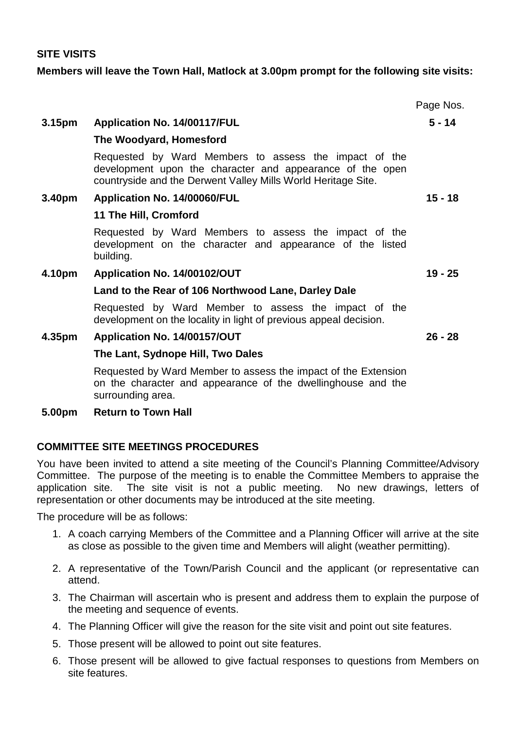### **SITE VISITS**

### **Members will leave the Town Hall, Matlock at 3.00pm prompt for the following site visits:**

|        |                                                                                                                                                                                     | Page Nos. |
|--------|-------------------------------------------------------------------------------------------------------------------------------------------------------------------------------------|-----------|
| 3.15pm | Application No. 14/00117/FUL                                                                                                                                                        | $5 - 14$  |
|        | The Woodyard, Homesford                                                                                                                                                             |           |
|        | Requested by Ward Members to assess the impact of the<br>development upon the character and appearance of the open<br>countryside and the Derwent Valley Mills World Heritage Site. |           |
| 3.40pm | Application No. 14/00060/FUL                                                                                                                                                        | $15 - 18$ |
|        | 11 The Hill, Cromford                                                                                                                                                               |           |
|        | Requested by Ward Members to assess the impact of the<br>development on the character and appearance of the listed<br>building.                                                     |           |
| 4.10pm | Application No. 14/00102/OUT                                                                                                                                                        | $19 - 25$ |
|        | Land to the Rear of 106 Northwood Lane, Darley Dale                                                                                                                                 |           |
|        | Requested by Ward Member to assess the impact of the<br>development on the locality in light of previous appeal decision.                                                           |           |
| 4.35pm | Application No. 14/00157/OUT                                                                                                                                                        | $26 - 28$ |
|        | The Lant, Sydnope Hill, Two Dales                                                                                                                                                   |           |
|        | Requested by Ward Member to assess the impact of the Extension<br>on the character and appearance of the dwellinghouse and the<br>surrounding area.                                 |           |

### **5.00pm Return to Town Hall**

# **COMMITTEE SITE MEETINGS PROCEDURES**

You have been invited to attend a site meeting of the Council's Planning Committee/Advisory Committee. The purpose of the meeting is to enable the Committee Members to appraise the application site. The site visit is not a public meeting. No new drawings, letters of representation or other documents may be introduced at the site meeting.

The procedure will be as follows:

- 1. A coach carrying Members of the Committee and a Planning Officer will arrive at the site as close as possible to the given time and Members will alight (weather permitting).
- 2. A representative of the Town/Parish Council and the applicant (or representative can attend.
- 3. The Chairman will ascertain who is present and address them to explain the purpose of the meeting and sequence of events.
- 4. The Planning Officer will give the reason for the site visit and point out site features.
- 5. Those present will be allowed to point out site features.
- 6. Those present will be allowed to give factual responses to questions from Members on site features.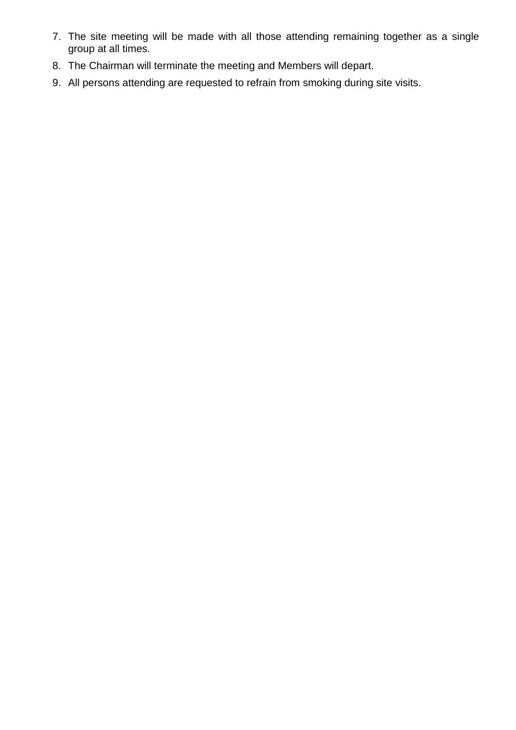- 7. The site meeting will be made with all those attending remaining together as a single group at all times.
- 8. The Chairman will terminate the meeting and Members will depart.
- 9. All persons attending are requested to refrain from smoking during site visits.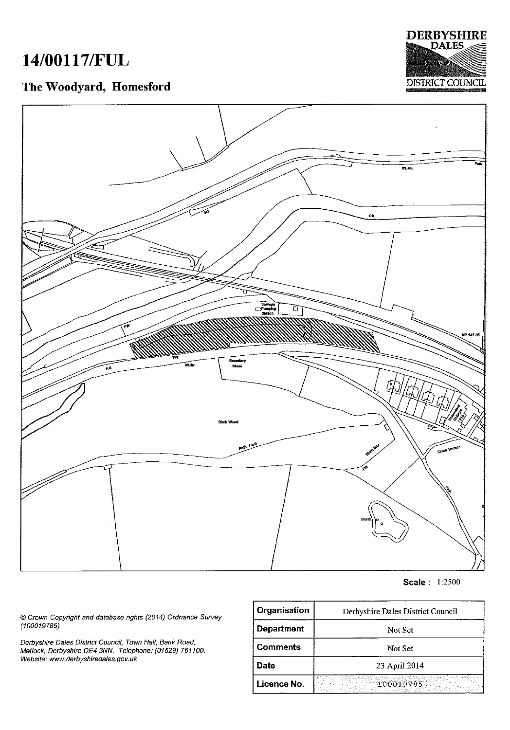# 14/00117/FUL

# The Woodyard, Homesford





Scale: 1:2500

© Crown Copyright and database rights (2014) Ordnance Survey<br>(100019785)

Derbyshire Dales District Council, Town Hall, Bank Road,<br>Matlock, Derbyshire DE4 3NN. Telephone: (01629) 761100. Website: www.derbyshiredales.gov.uk

| Organisation      | Derbyshire Dales District Council |
|-------------------|-----------------------------------|
| <b>Department</b> | Not Set                           |
| <b>Comments</b>   | Not Set                           |
| Date              | 23 April 2014                     |
| Licence No.       | 100019785                         |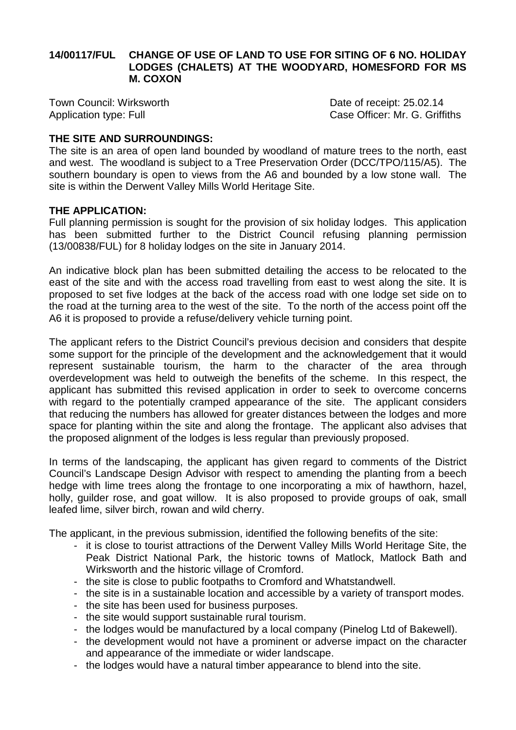# **14/00117/FUL CHANGE OF USE OF LAND TO USE FOR SITING OF 6 NO. HOLIDAY LODGES (CHALETS) AT THE WOODYARD, HOMESFORD FOR MS M. COXON**

Town Council: Wirksworth **Date of receipt: 25.02.14** 

Application type: Full **Case Officer: Mr. G. Griffiths** 

# **THE SITE AND SURROUNDINGS:**

The site is an area of open land bounded by woodland of mature trees to the north, east and west. The woodland is subject to a Tree Preservation Order (DCC/TPO/115/A5). The southern boundary is open to views from the A6 and bounded by a low stone wall. The site is within the Derwent Valley Mills World Heritage Site.

# **THE APPLICATION:**

Full planning permission is sought for the provision of six holiday lodges. This application has been submitted further to the District Council refusing planning permission (13/00838/FUL) for 8 holiday lodges on the site in January 2014.

An indicative block plan has been submitted detailing the access to be relocated to the east of the site and with the access road travelling from east to west along the site. It is proposed to set five lodges at the back of the access road with one lodge set side on to the road at the turning area to the west of the site. To the north of the access point off the A6 it is proposed to provide a refuse/delivery vehicle turning point.

The applicant refers to the District Council's previous decision and considers that despite some support for the principle of the development and the acknowledgement that it would represent sustainable tourism, the harm to the character of the area through overdevelopment was held to outweigh the benefits of the scheme. In this respect, the applicant has submitted this revised application in order to seek to overcome concerns with regard to the potentially cramped appearance of the site. The applicant considers that reducing the numbers has allowed for greater distances between the lodges and more space for planting within the site and along the frontage. The applicant also advises that the proposed alignment of the lodges is less regular than previously proposed.

In terms of the landscaping, the applicant has given regard to comments of the District Council's Landscape Design Advisor with respect to amending the planting from a beech hedge with lime trees along the frontage to one incorporating a mix of hawthorn, hazel, holly, guilder rose, and goat willow. It is also proposed to provide groups of oak, small leafed lime, silver birch, rowan and wild cherry.

The applicant, in the previous submission, identified the following benefits of the site:

- it is close to tourist attractions of the Derwent Valley Mills World Heritage Site, the Peak District National Park, the historic towns of Matlock, Matlock Bath and Wirksworth and the historic village of Cromford.
- the site is close to public footpaths to Cromford and Whatstandwell.
- the site is in a sustainable location and accessible by a variety of transport modes.
- the site has been used for business purposes.
- the site would support sustainable rural tourism.
- the lodges would be manufactured by a local company (Pinelog Ltd of Bakewell).
- the development would not have a prominent or adverse impact on the character and appearance of the immediate or wider landscape.
- the lodges would have a natural timber appearance to blend into the site.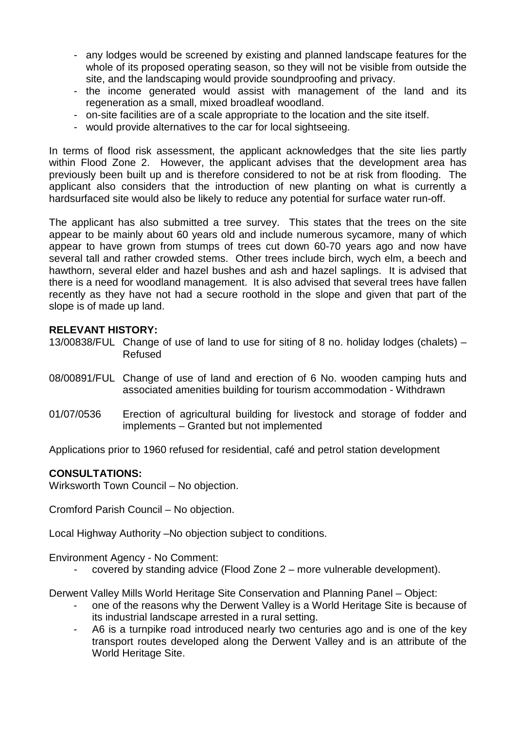- any lodges would be screened by existing and planned landscape features for the whole of its proposed operating season, so they will not be visible from outside the site, and the landscaping would provide soundproofing and privacy.
- the income generated would assist with management of the land and its regeneration as a small, mixed broadleaf woodland.
- on-site facilities are of a scale appropriate to the location and the site itself.
- would provide alternatives to the car for local sightseeing.

In terms of flood risk assessment, the applicant acknowledges that the site lies partly within Flood Zone 2. However, the applicant advises that the development area has previously been built up and is therefore considered to not be at risk from flooding. The applicant also considers that the introduction of new planting on what is currently a hardsurfaced site would also be likely to reduce any potential for surface water run-off.

The applicant has also submitted a tree survey. This states that the trees on the site appear to be mainly about 60 years old and include numerous sycamore, many of which appear to have grown from stumps of trees cut down 60-70 years ago and now have several tall and rather crowded stems. Other trees include birch, wych elm, a beech and hawthorn, several elder and hazel bushes and ash and hazel saplings. It is advised that there is a need for woodland management. It is also advised that several trees have fallen recently as they have not had a secure roothold in the slope and given that part of the slope is of made up land.

# **RELEVANT HISTORY:**

- 13/00838/FUL Change of use of land to use for siting of 8 no. holiday lodges (chalets) Refused
- 08/00891/FUL Change of use of land and erection of 6 No. wooden camping huts and associated amenities building for tourism accommodation - Withdrawn
- 01/07/0536 Erection of agricultural building for livestock and storage of fodder and implements – Granted but not implemented

Applications prior to 1960 refused for residential, café and petrol station development

# **CONSULTATIONS:**

Wirksworth Town Council – No objection.

Cromford Parish Council – No objection.

Local Highway Authority –No objection subject to conditions.

Environment Agency - No Comment:

- covered by standing advice (Flood Zone 2 – more vulnerable development).

Derwent Valley Mills World Heritage Site Conservation and Planning Panel – Object:

- one of the reasons why the Derwent Valley is a World Heritage Site is because of its industrial landscape arrested in a rural setting.
- A6 is a turnpike road introduced nearly two centuries ago and is one of the key transport routes developed along the Derwent Valley and is an attribute of the World Heritage Site.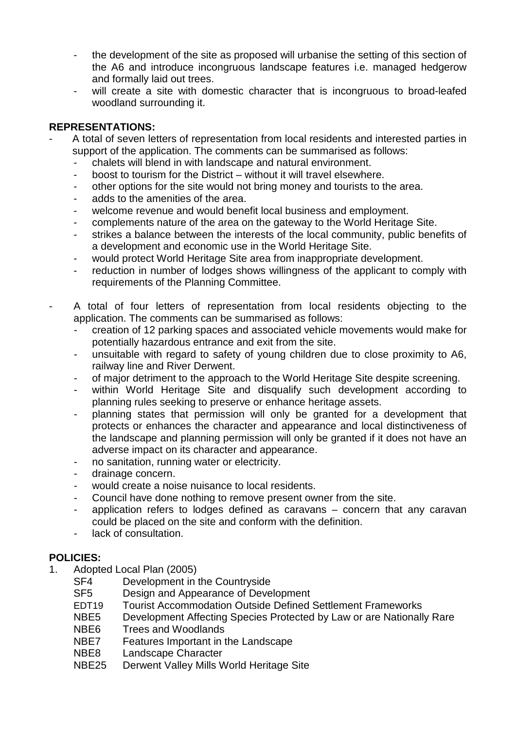- the development of the site as proposed will urbanise the setting of this section of the A6 and introduce incongruous landscape features i.e. managed hedgerow and formally laid out trees.
- will create a site with domestic character that is incongruous to broad-leafed woodland surrounding it.

# **REPRESENTATIONS:**

- A total of seven letters of representation from local residents and interested parties in support of the application. The comments can be summarised as follows:
	- chalets will blend in with landscape and natural environment.
	- boost to tourism for the District without it will travel elsewhere.
	- other options for the site would not bring money and tourists to the area.
	- adds to the amenities of the area.
	- welcome revenue and would benefit local business and employment.
	- complements nature of the area on the gateway to the World Heritage Site.
	- strikes a balance between the interests of the local community, public benefits of a development and economic use in the World Heritage Site.
	- would protect World Heritage Site area from inappropriate development.
	- reduction in number of lodges shows willingness of the applicant to comply with requirements of the Planning Committee.
- A total of four letters of representation from local residents objecting to the application. The comments can be summarised as follows:
	- creation of 12 parking spaces and associated vehicle movements would make for potentially hazardous entrance and exit from the site.
	- unsuitable with regard to safety of young children due to close proximity to A6, railway line and River Derwent.
	- of major detriment to the approach to the World Heritage Site despite screening.
	- within World Heritage Site and disqualify such development according to planning rules seeking to preserve or enhance heritage assets.
	- planning states that permission will only be granted for a development that protects or enhances the character and appearance and local distinctiveness of the landscape and planning permission will only be granted if it does not have an adverse impact on its character and appearance.
	- no sanitation, running water or electricity.
	- drainage concern.
	- would create a noise nuisance to local residents.
	- Council have done nothing to remove present owner from the site.
	- application refers to lodges defined as caravans  $-$  concern that any caravan could be placed on the site and conform with the definition.
	- lack of consultation.

# **POLICIES:**

- 1. Adopted Local Plan (2005)
	- SF4 Development in the Countryside<br>SF5 Design and Appearance of Deve
	- Design and Appearance of Development
	- EDT19 Tourist Accommodation Outside Defined Settlement Frameworks
	- NBE5 Development Affecting Species Protected by Law or are Nationally Rare
	- NBE6 Trees and Woodlands
	- NBE7 Features Important in the Landscape<br>NBE8 I andscape Character
	- Landscape Character
	- NBE25 Derwent Valley Mills World Heritage Site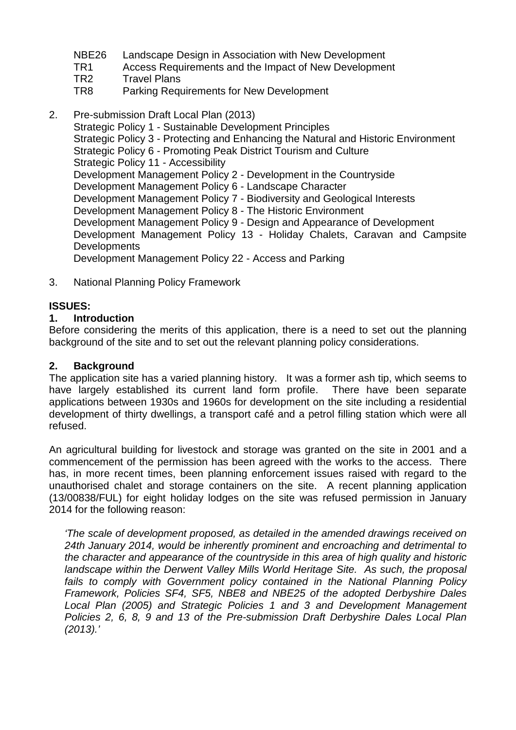- NBE26 Landscape Design in Association with New Development<br>TR1 Access Requirements and the Impact of New Developmer
- TR1 Access Requirements and the Impact of New Development<br>TR2 Travel Plans
- TR2 Travel Plans<br>TR8 Parking Regu
- Parking Requirements for New Development
- 2. Pre-submission Draft Local Plan (2013)

Strategic Policy 1 - Sustainable Development Principles Strategic Policy 3 - Protecting and Enhancing the Natural and Historic Environment Strategic Policy 6 - Promoting Peak District Tourism and Culture Strategic Policy 11 - Accessibility Development Management Policy 2 - Development in the Countryside Development Management Policy 6 - Landscape Character Development Management Policy 7 - Biodiversity and Geological Interests Development Management Policy 8 - The Historic Environment Development Management Policy 9 - Design and Appearance of Development Development Management Policy 13 - Holiday Chalets, Caravan and Campsite **Developments** Development Management Policy 22 - Access and Parking

- 
- 3. National Planning Policy Framework

# **ISSUES:**

# **1. Introduction**

Before considering the merits of this application, there is a need to set out the planning background of the site and to set out the relevant planning policy considerations.

# **2. Background**

The application site has a varied planning history. It was a former ash tip, which seems to have largely established its current land form profile. There have been separate applications between 1930s and 1960s for development on the site including a residential development of thirty dwellings, a transport café and a petrol filling station which were all refused.

An agricultural building for livestock and storage was granted on the site in 2001 and a commencement of the permission has been agreed with the works to the access. There has, in more recent times, been planning enforcement issues raised with regard to the unauthorised chalet and storage containers on the site. A recent planning application (13/00838/FUL) for eight holiday lodges on the site was refused permission in January 2014 for the following reason:

*'The scale of development proposed, as detailed in the amended drawings received on 24th January 2014, would be inherently prominent and encroaching and detrimental to the character and appearance of the countryside in this area of high quality and historic landscape within the Derwent Valley Mills World Heritage Site. As such, the proposal*  fails to comply with Government policy contained in the National Planning Policy *Framework, Policies SF4, SF5, NBE8 and NBE25 of the adopted Derbyshire Dales Local Plan (2005) and Strategic Policies 1 and 3 and Development Management Policies 2, 6, 8, 9 and 13 of the Pre-submission Draft Derbyshire Dales Local Plan (2013).'*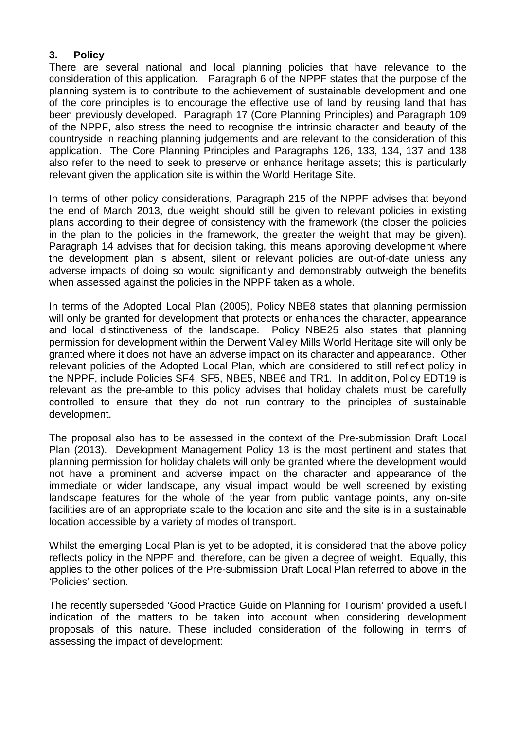# **3. Policy**

There are several national and local planning policies that have relevance to the consideration of this application. Paragraph 6 of the NPPF states that the purpose of the planning system is to contribute to the achievement of sustainable development and one of the core principles is to encourage the effective use of land by reusing land that has been previously developed. Paragraph 17 (Core Planning Principles) and Paragraph 109 of the NPPF, also stress the need to recognise the intrinsic character and beauty of the countryside in reaching planning judgements and are relevant to the consideration of this application. The Core Planning Principles and Paragraphs 126, 133, 134, 137 and 138 also refer to the need to seek to preserve or enhance heritage assets; this is particularly relevant given the application site is within the World Heritage Site.

In terms of other policy considerations, Paragraph 215 of the NPPF advises that beyond the end of March 2013, due weight should still be given to relevant policies in existing plans according to their degree of consistency with the framework (the closer the policies in the plan to the policies in the framework, the greater the weight that may be given). Paragraph 14 advises that for decision taking, this means approving development where the development plan is absent, silent or relevant policies are out-of-date unless any adverse impacts of doing so would significantly and demonstrably outweigh the benefits when assessed against the policies in the NPPF taken as a whole.

In terms of the Adopted Local Plan (2005), Policy NBE8 states that planning permission will only be granted for development that protects or enhances the character, appearance and local distinctiveness of the landscape. Policy NBE25 also states that planning permission for development within the Derwent Valley Mills World Heritage site will only be granted where it does not have an adverse impact on its character and appearance. Other relevant policies of the Adopted Local Plan, which are considered to still reflect policy in the NPPF, include Policies SF4, SF5, NBE5, NBE6 and TR1. In addition, Policy EDT19 is relevant as the pre-amble to this policy advises that holiday chalets must be carefully controlled to ensure that they do not run contrary to the principles of sustainable development.

The proposal also has to be assessed in the context of the Pre-submission Draft Local Plan (2013). Development Management Policy 13 is the most pertinent and states that planning permission for holiday chalets will only be granted where the development would not have a prominent and adverse impact on the character and appearance of the immediate or wider landscape, any visual impact would be well screened by existing landscape features for the whole of the year from public vantage points, any on-site facilities are of an appropriate scale to the location and site and the site is in a sustainable location accessible by a variety of modes of transport.

Whilst the emerging Local Plan is yet to be adopted, it is considered that the above policy reflects policy in the NPPF and, therefore, can be given a degree of weight. Equally, this applies to the other polices of the Pre-submission Draft Local Plan referred to above in the 'Policies' section.

The recently superseded 'Good Practice Guide on Planning for Tourism' provided a useful indication of the matters to be taken into account when considering development proposals of this nature. These included consideration of the following in terms of assessing the impact of development: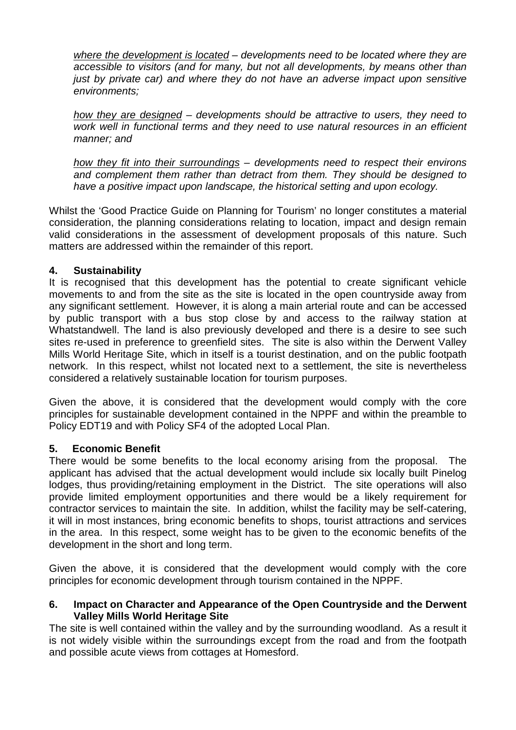*where the development is located – developments need to be located where they are accessible to visitors (and for many, but not all developments, by means other than just by private car) and where they do not have an adverse impact upon sensitive environments;*

*how they are designed – developments should be attractive to users, they need to work well in functional terms and they need to use natural resources in an efficient manner; and* 

*how they fit into their surroundings – developments need to respect their environs and complement them rather than detract from them. They should be designed to have a positive impact upon landscape, the historical setting and upon ecology.*

Whilst the 'Good Practice Guide on Planning for Tourism' no longer constitutes a material consideration, the planning considerations relating to location, impact and design remain valid considerations in the assessment of development proposals of this nature. Such matters are addressed within the remainder of this report.

# **4. Sustainability**

It is recognised that this development has the potential to create significant vehicle movements to and from the site as the site is located in the open countryside away from any significant settlement. However, it is along a main arterial route and can be accessed by public transport with a bus stop close by and access to the railway station at Whatstandwell. The land is also previously developed and there is a desire to see such sites re-used in preference to greenfield sites. The site is also within the Derwent Valley Mills World Heritage Site, which in itself is a tourist destination, and on the public footpath network. In this respect, whilst not located next to a settlement, the site is nevertheless considered a relatively sustainable location for tourism purposes.

Given the above, it is considered that the development would comply with the core principles for sustainable development contained in the NPPF and within the preamble to Policy EDT19 and with Policy SF4 of the adopted Local Plan.

# **5. Economic Benefit**

There would be some benefits to the local economy arising from the proposal. The applicant has advised that the actual development would include six locally built Pinelog lodges, thus providing/retaining employment in the District. The site operations will also provide limited employment opportunities and there would be a likely requirement for contractor services to maintain the site. In addition, whilst the facility may be self-catering, it will in most instances, bring economic benefits to shops, tourist attractions and services in the area. In this respect, some weight has to be given to the economic benefits of the development in the short and long term.

Given the above, it is considered that the development would comply with the core principles for economic development through tourism contained in the NPPF.

# **6. Impact on Character and Appearance of the Open Countryside and the Derwent Valley Mills World Heritage Site**

The site is well contained within the valley and by the surrounding woodland. As a result it is not widely visible within the surroundings except from the road and from the footpath and possible acute views from cottages at Homesford.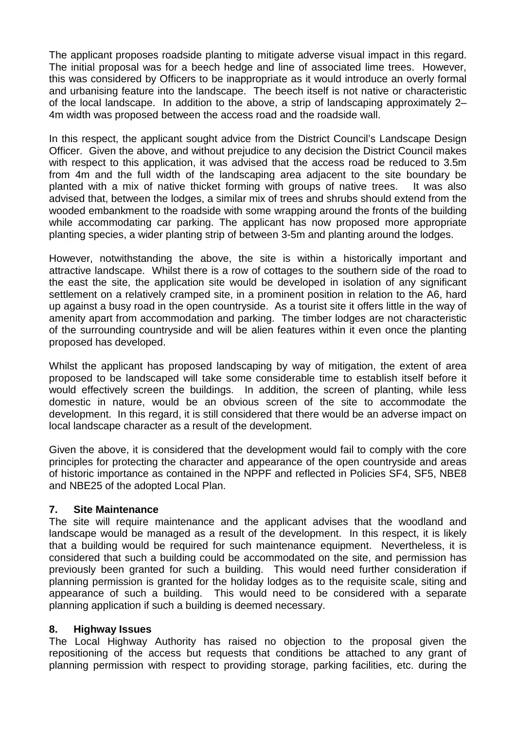The applicant proposes roadside planting to mitigate adverse visual impact in this regard. The initial proposal was for a beech hedge and line of associated lime trees. However, this was considered by Officers to be inappropriate as it would introduce an overly formal and urbanising feature into the landscape. The beech itself is not native or characteristic of the local landscape. In addition to the above, a strip of landscaping approximately 2– 4m width was proposed between the access road and the roadside wall.

In this respect, the applicant sought advice from the District Council's Landscape Design Officer. Given the above, and without prejudice to any decision the District Council makes with respect to this application, it was advised that the access road be reduced to 3.5m from 4m and the full width of the landscaping area adjacent to the site boundary be planted with a mix of native thicket forming with groups of native trees. It was also advised that, between the lodges, a similar mix of trees and shrubs should extend from the wooded embankment to the roadside with some wrapping around the fronts of the building while accommodating car parking. The applicant has now proposed more appropriate planting species, a wider planting strip of between 3-5m and planting around the lodges.

However, notwithstanding the above, the site is within a historically important and attractive landscape. Whilst there is a row of cottages to the southern side of the road to the east the site, the application site would be developed in isolation of any significant settlement on a relatively cramped site, in a prominent position in relation to the A6, hard up against a busy road in the open countryside. As a tourist site it offers little in the way of amenity apart from accommodation and parking. The timber lodges are not characteristic of the surrounding countryside and will be alien features within it even once the planting proposed has developed.

Whilst the applicant has proposed landscaping by way of mitigation, the extent of area proposed to be landscaped will take some considerable time to establish itself before it would effectively screen the buildings. In addition, the screen of planting, while less domestic in nature, would be an obvious screen of the site to accommodate the development. In this regard, it is still considered that there would be an adverse impact on local landscape character as a result of the development.

Given the above, it is considered that the development would fail to comply with the core principles for protecting the character and appearance of the open countryside and areas of historic importance as contained in the NPPF and reflected in Policies SF4, SF5, NBE8 and NBE25 of the adopted Local Plan.

# **7. Site Maintenance**

The site will require maintenance and the applicant advises that the woodland and landscape would be managed as a result of the development. In this respect, it is likely that a building would be required for such maintenance equipment. Nevertheless, it is considered that such a building could be accommodated on the site, and permission has previously been granted for such a building. This would need further consideration if planning permission is granted for the holiday lodges as to the requisite scale, siting and appearance of such a building. This would need to be considered with a separate planning application if such a building is deemed necessary.

# **8. Highway Issues**

The Local Highway Authority has raised no objection to the proposal given the repositioning of the access but requests that conditions be attached to any grant of planning permission with respect to providing storage, parking facilities, etc. during the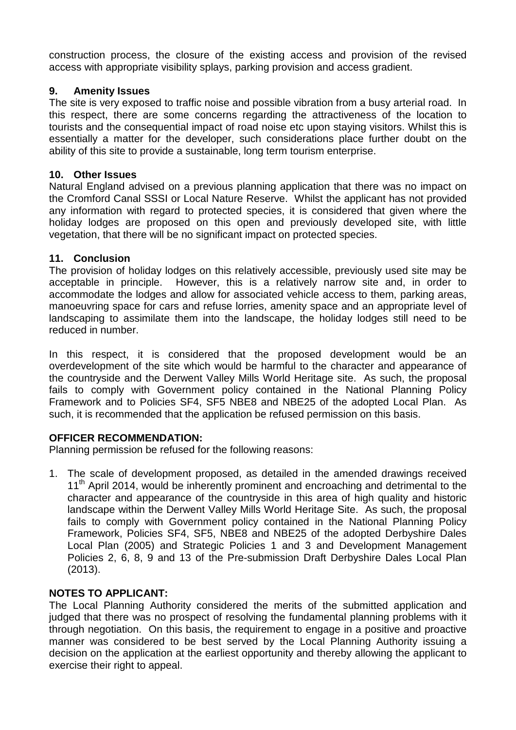construction process, the closure of the existing access and provision of the revised access with appropriate visibility splays, parking provision and access gradient.

# **9. Amenity Issues**

The site is very exposed to traffic noise and possible vibration from a busy arterial road. In this respect, there are some concerns regarding the attractiveness of the location to tourists and the consequential impact of road noise etc upon staying visitors. Whilst this is essentially a matter for the developer, such considerations place further doubt on the ability of this site to provide a sustainable, long term tourism enterprise.

# **10. Other Issues**

Natural England advised on a previous planning application that there was no impact on the Cromford Canal SSSI or Local Nature Reserve. Whilst the applicant has not provided any information with regard to protected species, it is considered that given where the holiday lodges are proposed on this open and previously developed site, with little vegetation, that there will be no significant impact on protected species.

# **11. Conclusion**

The provision of holiday lodges on this relatively accessible, previously used site may be acceptable in principle. However, this is a relatively narrow site and, in order to accommodate the lodges and allow for associated vehicle access to them, parking areas, manoeuvring space for cars and refuse lorries, amenity space and an appropriate level of landscaping to assimilate them into the landscape, the holiday lodges still need to be reduced in number.

In this respect, it is considered that the proposed development would be an overdevelopment of the site which would be harmful to the character and appearance of the countryside and the Derwent Valley Mills World Heritage site. As such, the proposal fails to comply with Government policy contained in the National Planning Policy Framework and to Policies SF4, SF5 NBE8 and NBE25 of the adopted Local Plan. As such, it is recommended that the application be refused permission on this basis.

# **OFFICER RECOMMENDATION:**

Planning permission be refused for the following reasons:

1. The scale of development proposed, as detailed in the amended drawings received 11<sup>th</sup> April 2014, would be inherently prominent and encroaching and detrimental to the character and appearance of the countryside in this area of high quality and historic landscape within the Derwent Valley Mills World Heritage Site. As such, the proposal fails to comply with Government policy contained in the National Planning Policy Framework, Policies SF4, SF5, NBE8 and NBE25 of the adopted Derbyshire Dales Local Plan (2005) and Strategic Policies 1 and 3 and Development Management Policies 2, 6, 8, 9 and 13 of the Pre-submission Draft Derbyshire Dales Local Plan (2013).

# **NOTES TO APPLICANT:**

The Local Planning Authority considered the merits of the submitted application and judged that there was no prospect of resolving the fundamental planning problems with it through negotiation. On this basis, the requirement to engage in a positive and proactive manner was considered to be best served by the Local Planning Authority issuing a decision on the application at the earliest opportunity and thereby allowing the applicant to exercise their right to appeal.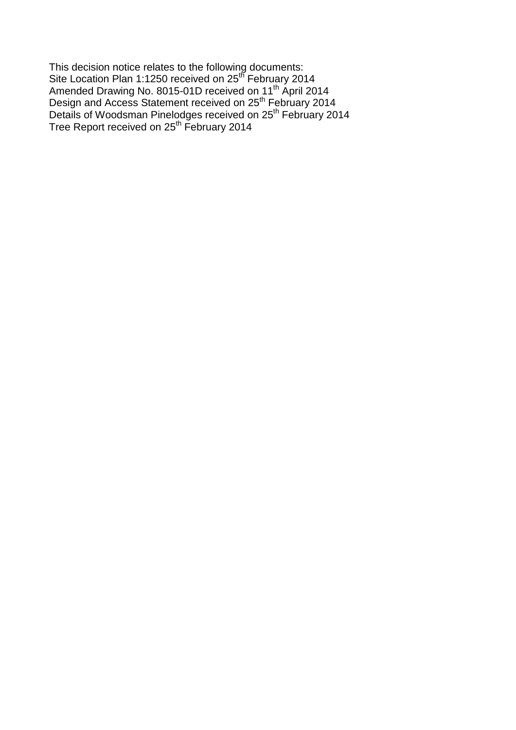This decision notice relates to the following documents: Site Location Plan 1:1250 received on 25<sup>th</sup> February 2014 Amended Drawing No. 8015-01D received on 11<sup>th</sup> April 2014 Design and Access Statement received on 25<sup>th</sup> February 2014 Details of Woodsman Pinelodges received on 25<sup>th</sup> February 2014 Tree Report received on 25<sup>th</sup> February 2014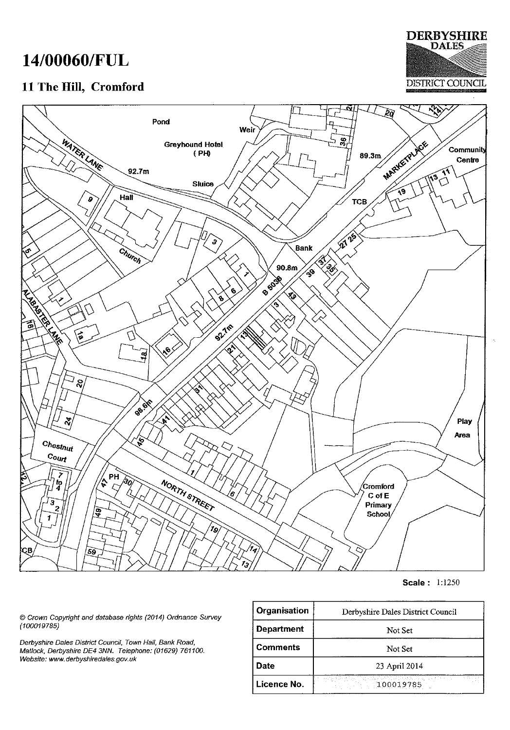# 14/00060/FUL

# 11 The Hill, Cromford





**Scale: 1:1250** 

© Crown Copyright and database rights (2014) Ordnance Survey  $(100019785)$ 

Derbyshire Dales District Council, Town Hall, Bank Road, Matlock, Derbyshire DE4 3NN. Telephone: (01629) 761100. Website: www.derbyshiredales.gov.uk

| Organisation               | Derbyshire Dales District Council |  |
|----------------------------|-----------------------------------|--|
| Department                 | Not Set                           |  |
| <b>Comments</b><br>Not Set |                                   |  |
| Date<br>23 April 2014      |                                   |  |
| Licence No.                | 100019785                         |  |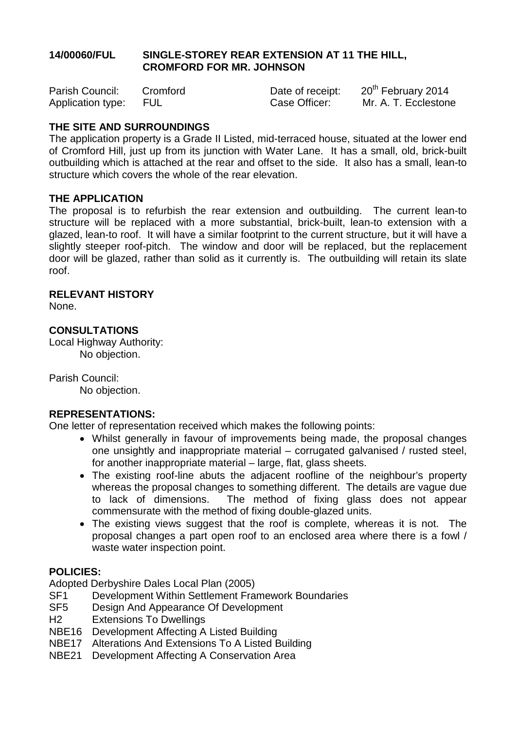# **14/00060/FUL SINGLE-STOREY REAR EXTENSION AT 11 THE HILL, CROMFORD FOR MR. JOHNSON**

| Parish Council:       | Cromford | Date of receipt: | 20 <sup>th</sup> February 2014 |
|-----------------------|----------|------------------|--------------------------------|
| Application type: FUL |          | Case Officer:    | Mr. A. T. Ecclestone           |

# **THE SITE AND SURROUNDINGS**

The application property is a Grade II Listed, mid-terraced house, situated at the lower end of Cromford Hill, just up from its junction with Water Lane. It has a small, old, brick-built outbuilding which is attached at the rear and offset to the side. It also has a small, lean-to structure which covers the whole of the rear elevation.

# **THE APPLICATION**

The proposal is to refurbish the rear extension and outbuilding. The current lean-to structure will be replaced with a more substantial, brick-built, lean-to extension with a glazed, lean-to roof. It will have a similar footprint to the current structure, but it will have a slightly steeper roof-pitch. The window and door will be replaced, but the replacement door will be glazed, rather than solid as it currently is. The outbuilding will retain its slate roof.

# **RELEVANT HISTORY**

None.

# **CONSULTATIONS**

Local Highway Authority: No objection.

Parish Council:

No objection.

# **REPRESENTATIONS:**

One letter of representation received which makes the following points:

- Whilst generally in favour of improvements being made, the proposal changes one unsightly and inappropriate material – corrugated galvanised / rusted steel, for another inappropriate material – large, flat, glass sheets.
- The existing roof-line abuts the adjacent roofline of the neighbour's property whereas the proposal changes to something different. The details are vague due to lack of dimensions. The method of fixing glass does not appear commensurate with the method of fixing double-glazed units.
- The existing views suggest that the roof is complete, whereas it is not. The proposal changes a part open roof to an enclosed area where there is a fowl / waste water inspection point.

# **POLICIES:**

Adopted Derbyshire Dales Local Plan (2005)

- SF1 Development Within Settlement Framework Boundaries
- SF5 Design And Appearance Of Development
- H2 Extensions To Dwellings
- NBE16 Development Affecting A Listed Building
- NBE17 Alterations And Extensions To A Listed Building
- NBE21 Development Affecting A Conservation Area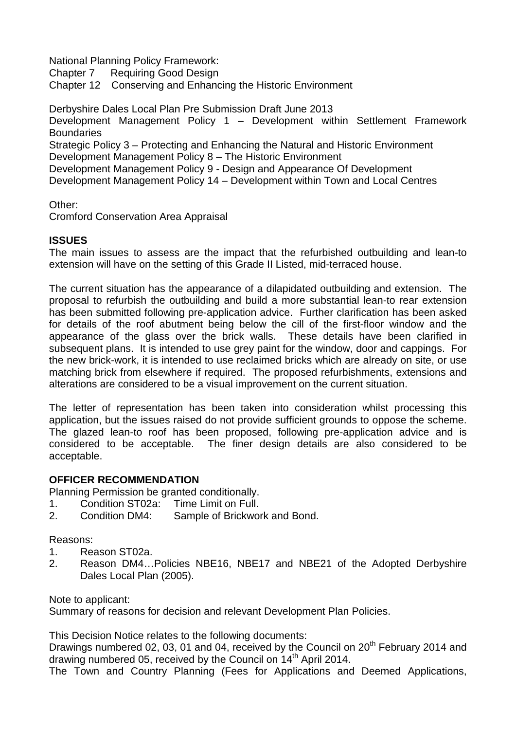National Planning Policy Framework:

Chapter 7 Requiring Good Design

Chapter 12 Conserving and Enhancing the Historic Environment

Derbyshire Dales Local Plan Pre Submission Draft June 2013

Development Management Policy 1 – Development within Settlement Framework **Boundaries** 

Strategic Policy 3 – Protecting and Enhancing the Natural and Historic Environment Development Management Policy 8 – The Historic Environment

Development Management Policy 9 - Design and Appearance Of Development

Development Management Policy 14 – Development within Town and Local Centres

Other:

Cromford Conservation Area Appraisal

# **ISSUES**

The main issues to assess are the impact that the refurbished outbuilding and lean-to extension will have on the setting of this Grade II Listed, mid-terraced house.

The current situation has the appearance of a dilapidated outbuilding and extension. The proposal to refurbish the outbuilding and build a more substantial lean-to rear extension has been submitted following pre-application advice. Further clarification has been asked for details of the roof abutment being below the cill of the first-floor window and the appearance of the glass over the brick walls. These details have been clarified in subsequent plans. It is intended to use grey paint for the window, door and cappings. For the new brick-work, it is intended to use reclaimed bricks which are already on site, or use matching brick from elsewhere if required. The proposed refurbishments, extensions and alterations are considered to be a visual improvement on the current situation.

The letter of representation has been taken into consideration whilst processing this application, but the issues raised do not provide sufficient grounds to oppose the scheme. The glazed lean-to roof has been proposed, following pre-application advice and is considered to be acceptable. The finer design details are also considered to be acceptable.

# **OFFICER RECOMMENDATION**

Planning Permission be granted conditionally.

- 1. Condition ST02a: Time Limit on Full.
- 2. Condition DM4: Sample of Brickwork and Bond.

# Reasons:

- 1. Reason ST02a.
- 2. Reason DM4…Policies NBE16, NBE17 and NBE21 of the Adopted Derbyshire Dales Local Plan (2005).

Note to applicant:

Summary of reasons for decision and relevant Development Plan Policies.

This Decision Notice relates to the following documents:

Drawings numbered 02, 03, 01 and 04, received by the Council on 20<sup>th</sup> February 2014 and drawing numbered 05, received by the Council on 14th April 2014.

The Town and Country Planning (Fees for Applications and Deemed Applications,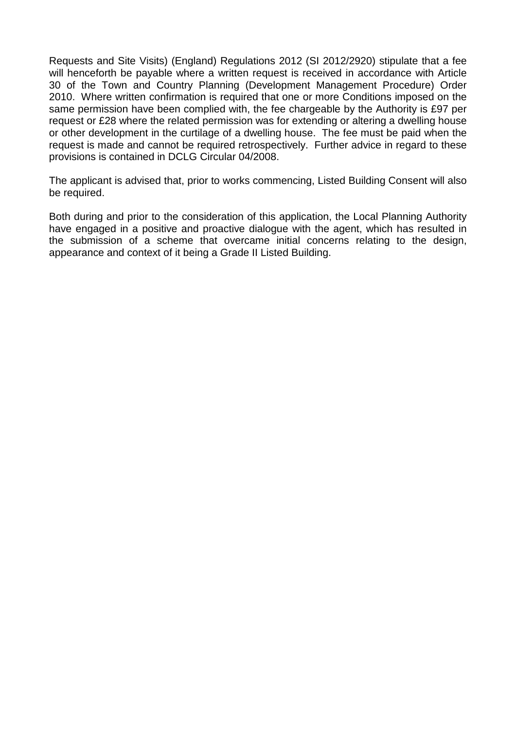Requests and Site Visits) (England) Regulations 2012 (SI 2012/2920) stipulate that a fee will henceforth be payable where a written request is received in accordance with Article 30 of the Town and Country Planning (Development Management Procedure) Order 2010. Where written confirmation is required that one or more Conditions imposed on the same permission have been complied with, the fee chargeable by the Authority is £97 per request or £28 where the related permission was for extending or altering a dwelling house or other development in the curtilage of a dwelling house. The fee must be paid when the request is made and cannot be required retrospectively. Further advice in regard to these provisions is contained in DCLG Circular 04/2008.

The applicant is advised that, prior to works commencing, Listed Building Consent will also be required.

Both during and prior to the consideration of this application, the Local Planning Authority have engaged in a positive and proactive dialogue with the agent, which has resulted in the submission of a scheme that overcame initial concerns relating to the design, appearance and context of it being a Grade II Listed Building.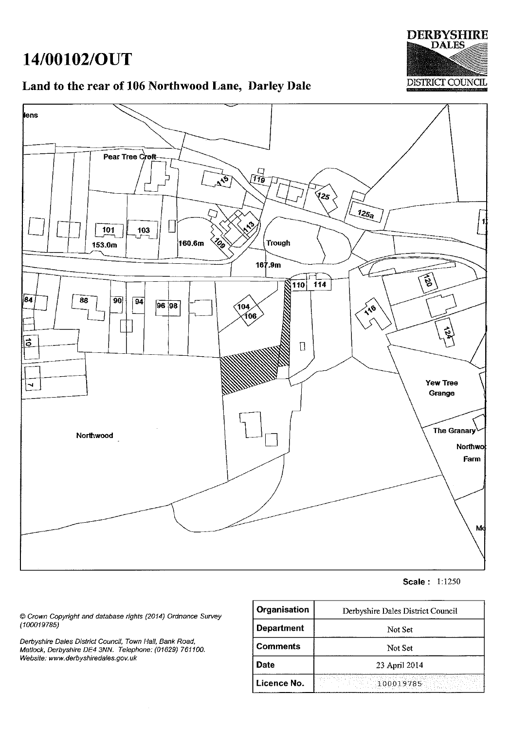# 14/00102/OUT

# **DERBYSHIRE DALES DISTRICT COUNCIL**

# Land to the rear of 106 Northwood Lane, Darley Dale



**Scale: 1:1250** 

© Crown Copyright and database rights (2014) Ordnance Survey  $(100019785)$ 

Derbyshire Dales District Council, Town Hall, Bank Road,<br>Matlock, Derbyshire DE4 3NN. Telephone: (01629) 761100. Website: www.derbyshiredales.gov.uk

| Organisation      | Derbyshire Dales District Council |
|-------------------|-----------------------------------|
| <b>Department</b> | Not Set                           |
| <b>Comments</b>   | Not Set                           |
| <b>Date</b>       | 23 April 2014                     |
| Licence No.       | 100019785                         |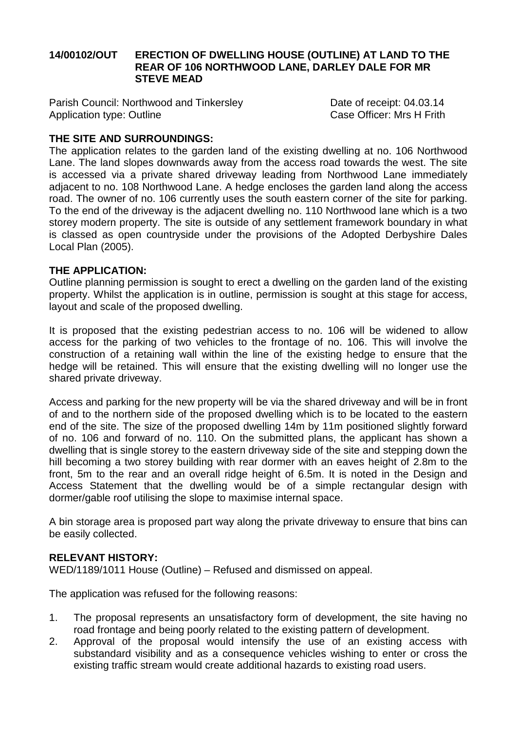# **14/00102/OUT ERECTION OF DWELLING HOUSE (OUTLINE) AT LAND TO THE REAR OF 106 NORTHWOOD LANE, DARLEY DALE FOR MR STEVE MEAD**

Parish Council: Northwood and Tinkersley<br>Application type: Outline<br>Case Officer: Mrs H Frith Application type: Outline

# **THE SITE AND SURROUNDINGS:**

The application relates to the garden land of the existing dwelling at no. 106 Northwood Lane. The land slopes downwards away from the access road towards the west. The site is accessed via a private shared driveway leading from Northwood Lane immediately adjacent to no. 108 Northwood Lane. A hedge encloses the garden land along the access road. The owner of no. 106 currently uses the south eastern corner of the site for parking. To the end of the driveway is the adjacent dwelling no. 110 Northwood lane which is a two storey modern property. The site is outside of any settlement framework boundary in what is classed as open countryside under the provisions of the Adopted Derbyshire Dales Local Plan (2005).

# **THE APPLICATION:**

Outline planning permission is sought to erect a dwelling on the garden land of the existing property. Whilst the application is in outline, permission is sought at this stage for access, layout and scale of the proposed dwelling.

It is proposed that the existing pedestrian access to no. 106 will be widened to allow access for the parking of two vehicles to the frontage of no. 106. This will involve the construction of a retaining wall within the line of the existing hedge to ensure that the hedge will be retained. This will ensure that the existing dwelling will no longer use the shared private driveway.

Access and parking for the new property will be via the shared driveway and will be in front of and to the northern side of the proposed dwelling which is to be located to the eastern end of the site. The size of the proposed dwelling 14m by 11m positioned slightly forward of no. 106 and forward of no. 110. On the submitted plans, the applicant has shown a dwelling that is single storey to the eastern driveway side of the site and stepping down the hill becoming a two storey building with rear dormer with an eaves height of 2.8m to the front, 5m to the rear and an overall ridge height of 6.5m. It is noted in the Design and Access Statement that the dwelling would be of a simple rectangular design with dormer/gable roof utilising the slope to maximise internal space.

A bin storage area is proposed part way along the private driveway to ensure that bins can be easily collected.

# **RELEVANT HISTORY:**

WED/1189/1011 House (Outline) – Refused and dismissed on appeal.

The application was refused for the following reasons:

- 1. The proposal represents an unsatisfactory form of development, the site having no road frontage and being poorly related to the existing pattern of development.
- 2. Approval of the proposal would intensify the use of an existing access with substandard visibility and as a consequence vehicles wishing to enter or cross the existing traffic stream would create additional hazards to existing road users.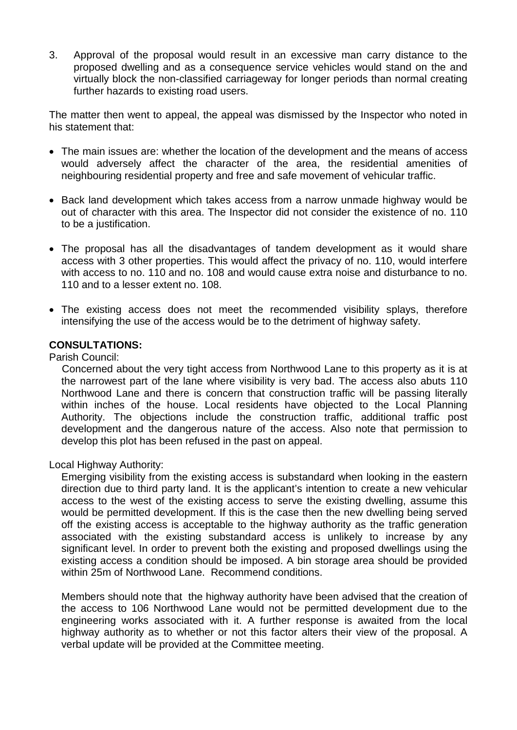3. Approval of the proposal would result in an excessive man carry distance to the proposed dwelling and as a consequence service vehicles would stand on the and virtually block the non-classified carriageway for longer periods than normal creating further hazards to existing road users.

The matter then went to appeal, the appeal was dismissed by the Inspector who noted in his statement that:

- The main issues are: whether the location of the development and the means of access would adversely affect the character of the area, the residential amenities of neighbouring residential property and free and safe movement of vehicular traffic.
- Back land development which takes access from a narrow unmade highway would be out of character with this area. The Inspector did not consider the existence of no. 110 to be a justification.
- The proposal has all the disadvantages of tandem development as it would share access with 3 other properties. This would affect the privacy of no. 110, would interfere with access to no. 110 and no. 108 and would cause extra noise and disturbance to no. 110 and to a lesser extent no. 108.
- The existing access does not meet the recommended visibility splays, therefore intensifying the use of the access would be to the detriment of highway safety.

# **CONSULTATIONS:**

Parish Council:

Concerned about the very tight access from Northwood Lane to this property as it is at the narrowest part of the lane where visibility is very bad. The access also abuts 110 Northwood Lane and there is concern that construction traffic will be passing literally within inches of the house. Local residents have objected to the Local Planning Authority. The objections include the construction traffic, additional traffic post development and the dangerous nature of the access. Also note that permission to develop this plot has been refused in the past on appeal.

Local Highway Authority:

Emerging visibility from the existing access is substandard when looking in the eastern direction due to third party land. It is the applicant's intention to create a new vehicular access to the west of the existing access to serve the existing dwelling, assume this would be permitted development. If this is the case then the new dwelling being served off the existing access is acceptable to the highway authority as the traffic generation associated with the existing substandard access is unlikely to increase by any significant level. In order to prevent both the existing and proposed dwellings using the existing access a condition should be imposed. A bin storage area should be provided within 25m of Northwood Lane. Recommend conditions.

Members should note that the highway authority have been advised that the creation of the access to 106 Northwood Lane would not be permitted development due to the engineering works associated with it. A further response is awaited from the local highway authority as to whether or not this factor alters their view of the proposal. A verbal update will be provided at the Committee meeting.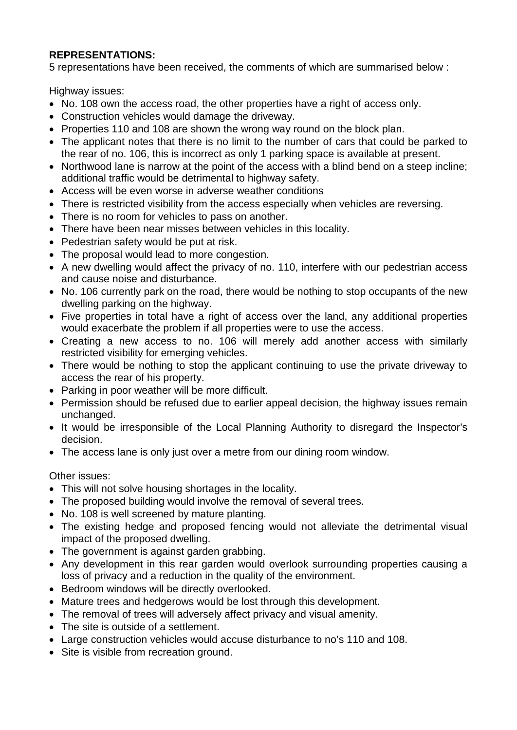# **REPRESENTATIONS:**

5 representations have been received, the comments of which are summarised below :

Highway issues:

- No. 108 own the access road, the other properties have a right of access only.
- Construction vehicles would damage the driveway.
- Properties 110 and 108 are shown the wrong way round on the block plan.
- The applicant notes that there is no limit to the number of cars that could be parked to the rear of no. 106, this is incorrect as only 1 parking space is available at present.
- Northwood lane is narrow at the point of the access with a blind bend on a steep incline: additional traffic would be detrimental to highway safety.
- Access will be even worse in adverse weather conditions
- There is restricted visibility from the access especially when vehicles are reversing.
- There is no room for vehicles to pass on another.
- There have been near misses between vehicles in this locality.
- Pedestrian safety would be put at risk.
- The proposal would lead to more congestion.
- A new dwelling would affect the privacy of no. 110, interfere with our pedestrian access and cause noise and disturbance.
- No. 106 currently park on the road, there would be nothing to stop occupants of the new dwelling parking on the highway.
- Five properties in total have a right of access over the land, any additional properties would exacerbate the problem if all properties were to use the access.
- Creating a new access to no. 106 will merely add another access with similarly restricted visibility for emerging vehicles.
- There would be nothing to stop the applicant continuing to use the private driveway to access the rear of his property.
- Parking in poor weather will be more difficult.
- Permission should be refused due to earlier appeal decision, the highway issues remain unchanged.
- It would be irresponsible of the Local Planning Authority to disregard the Inspector's decision.
- The access lane is only just over a metre from our dining room window.

Other issues:

- This will not solve housing shortages in the locality.
- The proposed building would involve the removal of several trees.
- No. 108 is well screened by mature planting.
- The existing hedge and proposed fencing would not alleviate the detrimental visual impact of the proposed dwelling.
- The government is against garden grabbing.
- Any development in this rear garden would overlook surrounding properties causing a loss of privacy and a reduction in the quality of the environment.
- Bedroom windows will be directly overlooked.
- Mature trees and hedgerows would be lost through this development.
- The removal of trees will adversely affect privacy and visual amenity.
- The site is outside of a settlement.
- Large construction vehicles would accuse disturbance to no's 110 and 108.
- Site is visible from recreation ground.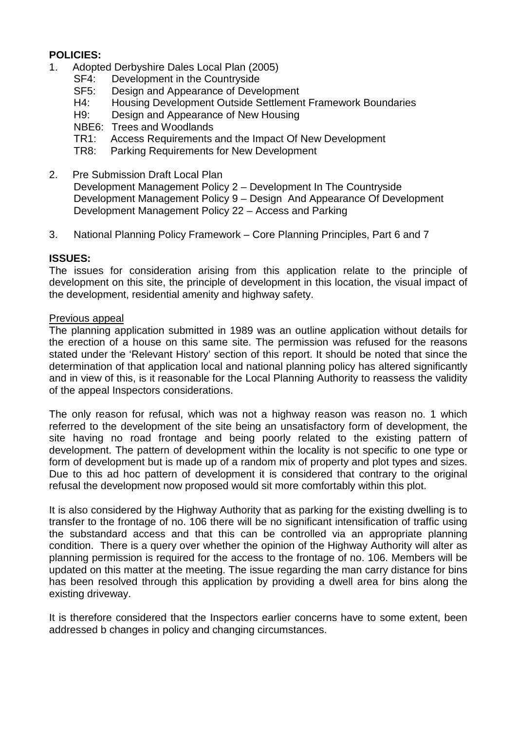# **POLICIES:**

- 1. Adopted Derbyshire Dales Local Plan (2005)
	- SF4: Development in the Countryside<br>SF5: Design and Appearance of Deve
	- Design and Appearance of Development
	- H4: Housing Development Outside Settlement Framework Boundaries
	- H9: Design and Appearance of New Housing
	- NBE6: Trees and Woodlands<br>TR1: Access Requirements
	- Access Requirements and the Impact Of New Development
	- TR8: Parking Requirements for New Development
- 2. Pre Submission Draft Local Plan Development Management Policy 2 – Development In The Countryside Development Management Policy 9 – Design And Appearance Of Development Development Management Policy 22 – Access and Parking
- 3. National Planning Policy Framework Core Planning Principles, Part 6 and 7

### **ISSUES:**

The issues for consideration arising from this application relate to the principle of development on this site, the principle of development in this location, the visual impact of the development, residential amenity and highway safety.

### Previous appeal

The planning application submitted in 1989 was an outline application without details for the erection of a house on this same site. The permission was refused for the reasons stated under the 'Relevant History' section of this report. It should be noted that since the determination of that application local and national planning policy has altered significantly and in view of this, is it reasonable for the Local Planning Authority to reassess the validity of the appeal Inspectors considerations.

The only reason for refusal, which was not a highway reason was reason no. 1 which referred to the development of the site being an unsatisfactory form of development, the site having no road frontage and being poorly related to the existing pattern of development. The pattern of development within the locality is not specific to one type or form of development but is made up of a random mix of property and plot types and sizes. Due to this ad hoc pattern of development it is considered that contrary to the original refusal the development now proposed would sit more comfortably within this plot.

It is also considered by the Highway Authority that as parking for the existing dwelling is to transfer to the frontage of no. 106 there will be no significant intensification of traffic using the substandard access and that this can be controlled via an appropriate planning condition. There is a query over whether the opinion of the Highway Authority will alter as planning permission is required for the access to the frontage of no. 106. Members will be updated on this matter at the meeting. The issue regarding the man carry distance for bins has been resolved through this application by providing a dwell area for bins along the existing driveway.

It is therefore considered that the Inspectors earlier concerns have to some extent, been addressed b changes in policy and changing circumstances.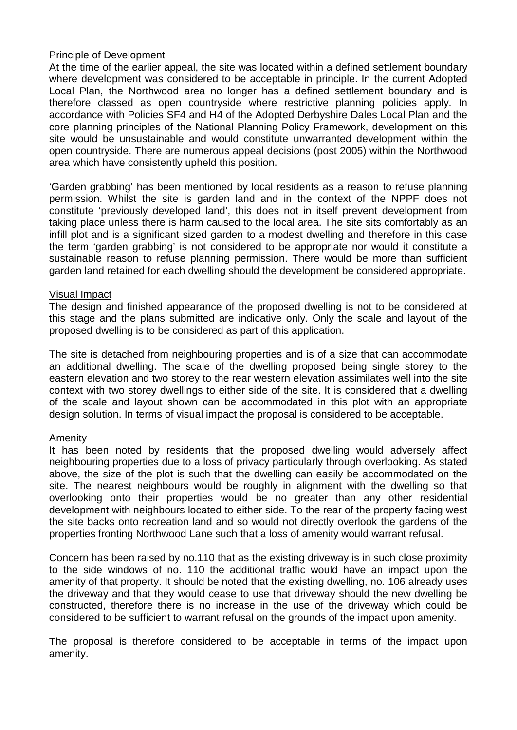# Principle of Development

At the time of the earlier appeal, the site was located within a defined settlement boundary where development was considered to be acceptable in principle. In the current Adopted Local Plan, the Northwood area no longer has a defined settlement boundary and is therefore classed as open countryside where restrictive planning policies apply. In accordance with Policies SF4 and H4 of the Adopted Derbyshire Dales Local Plan and the core planning principles of the National Planning Policy Framework, development on this site would be unsustainable and would constitute unwarranted development within the open countryside. There are numerous appeal decisions (post 2005) within the Northwood area which have consistently upheld this position.

'Garden grabbing' has been mentioned by local residents as a reason to refuse planning permission. Whilst the site is garden land and in the context of the NPPF does not constitute 'previously developed land', this does not in itself prevent development from taking place unless there is harm caused to the local area. The site sits comfortably as an infill plot and is a significant sized garden to a modest dwelling and therefore in this case the term 'garden grabbing' is not considered to be appropriate nor would it constitute a sustainable reason to refuse planning permission. There would be more than sufficient garden land retained for each dwelling should the development be considered appropriate.

### Visual Impact

The design and finished appearance of the proposed dwelling is not to be considered at this stage and the plans submitted are indicative only. Only the scale and layout of the proposed dwelling is to be considered as part of this application.

The site is detached from neighbouring properties and is of a size that can accommodate an additional dwelling. The scale of the dwelling proposed being single storey to the eastern elevation and two storey to the rear western elevation assimilates well into the site context with two storey dwellings to either side of the site. It is considered that a dwelling of the scale and layout shown can be accommodated in this plot with an appropriate design solution. In terms of visual impact the proposal is considered to be acceptable.

# Amenity

It has been noted by residents that the proposed dwelling would adversely affect neighbouring properties due to a loss of privacy particularly through overlooking. As stated above, the size of the plot is such that the dwelling can easily be accommodated on the site. The nearest neighbours would be roughly in alignment with the dwelling so that overlooking onto their properties would be no greater than any other residential development with neighbours located to either side. To the rear of the property facing west the site backs onto recreation land and so would not directly overlook the gardens of the properties fronting Northwood Lane such that a loss of amenity would warrant refusal.

Concern has been raised by no.110 that as the existing driveway is in such close proximity to the side windows of no. 110 the additional traffic would have an impact upon the amenity of that property. It should be noted that the existing dwelling, no. 106 already uses the driveway and that they would cease to use that driveway should the new dwelling be constructed, therefore there is no increase in the use of the driveway which could be considered to be sufficient to warrant refusal on the grounds of the impact upon amenity.

The proposal is therefore considered to be acceptable in terms of the impact upon amenity.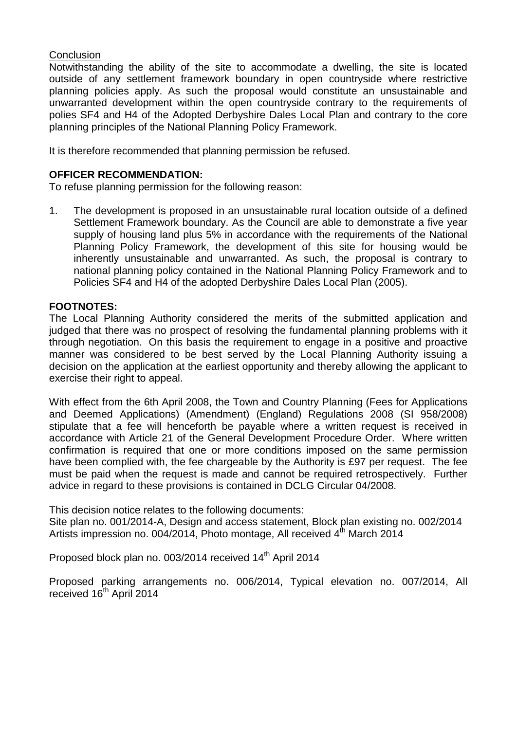# **Conclusion**

Notwithstanding the ability of the site to accommodate a dwelling, the site is located outside of any settlement framework boundary in open countryside where restrictive planning policies apply. As such the proposal would constitute an unsustainable and unwarranted development within the open countryside contrary to the requirements of polies SF4 and H4 of the Adopted Derbyshire Dales Local Plan and contrary to the core planning principles of the National Planning Policy Framework.

It is therefore recommended that planning permission be refused.

### **OFFICER RECOMMENDATION:**

To refuse planning permission for the following reason:

1. The development is proposed in an unsustainable rural location outside of a defined Settlement Framework boundary. As the Council are able to demonstrate a five year supply of housing land plus 5% in accordance with the requirements of the National Planning Policy Framework, the development of this site for housing would be inherently unsustainable and unwarranted. As such, the proposal is contrary to national planning policy contained in the National Planning Policy Framework and to Policies SF4 and H4 of the adopted Derbyshire Dales Local Plan (2005).

### **FOOTNOTES:**

The Local Planning Authority considered the merits of the submitted application and judged that there was no prospect of resolving the fundamental planning problems with it through negotiation. On this basis the requirement to engage in a positive and proactive manner was considered to be best served by the Local Planning Authority issuing a decision on the application at the earliest opportunity and thereby allowing the applicant to exercise their right to appeal.

With effect from the 6th April 2008, the Town and Country Planning (Fees for Applications and Deemed Applications) (Amendment) (England) Regulations 2008 (SI 958/2008) stipulate that a fee will henceforth be payable where a written request is received in accordance with Article 21 of the General Development Procedure Order. Where written confirmation is required that one or more conditions imposed on the same permission have been complied with, the fee chargeable by the Authority is £97 per request. The fee must be paid when the request is made and cannot be required retrospectively. Further advice in regard to these provisions is contained in DCLG Circular 04/2008.

This decision notice relates to the following documents:

Site plan no. 001/2014-A, Design and access statement, Block plan existing no. 002/2014 Artists impression no. 004/2014, Photo montage, All received  $4<sup>th</sup>$  March 2014

Proposed block plan no. 003/2014 received 14<sup>th</sup> April 2014

Proposed parking arrangements no. 006/2014, Typical elevation no. 007/2014, All received 16<sup>th</sup> April 2014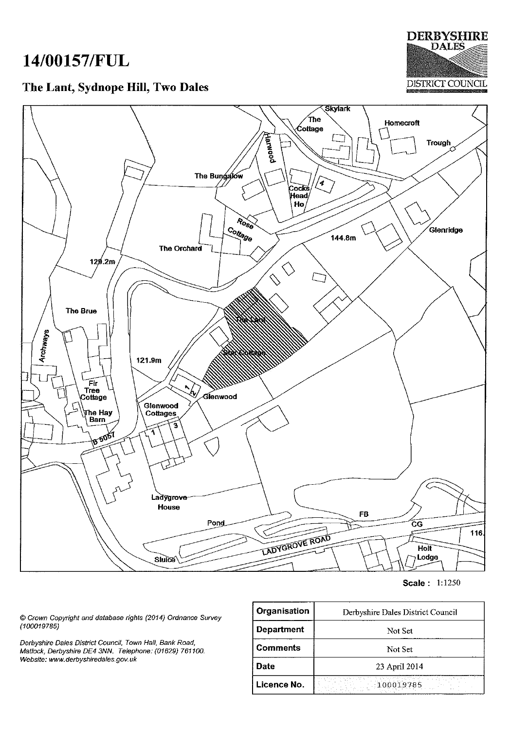# 14/00157/FUL

# The Lant, Sydnope Hill, Two Dales





Scale: 1:1250

© Crown Copyright and database rights (2014) Ordnance Survey  $(100019785)$ 

Derbyshire Dales District Council, Town Hall, Bank Road, Matlock, Derbyshire DE4 3NN. Telephone: (01629) 761100. Website: www.derbyshiredales.gov.uk

| Organisation      | Derbyshire Dales District Council  |  |
|-------------------|------------------------------------|--|
| <b>Department</b> | Not Set                            |  |
| <b>Comments</b>   | Not Set                            |  |
| Date              | 23 April 2014                      |  |
| Licence No.       | 化酸性磷酸钠 经公司 计算法定 经成本事实<br>100019785 |  |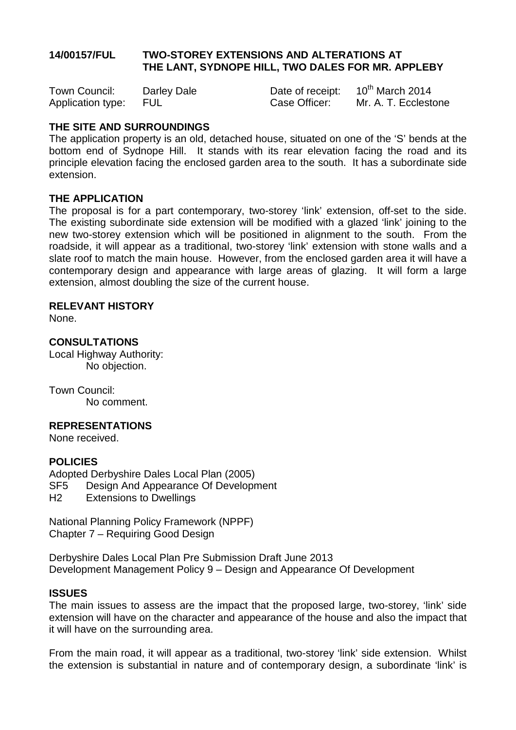# **14/00157/FUL TWO-STOREY EXTENSIONS AND ALTERATIONS AT THE LANT, SYDNOPE HILL, TWO DALES FOR MR. APPLEBY**

| Town Council:         | Darley Dale | Date of receipt: | $10^{th}$ March 2014 |
|-----------------------|-------------|------------------|----------------------|
| Application type: FUL |             | Case Officer:    | Mr. A. T. Ecclestone |

# **THE SITE AND SURROUNDINGS**

The application property is an old, detached house, situated on one of the 'S' bends at the bottom end of Sydnope Hill. It stands with its rear elevation facing the road and its principle elevation facing the enclosed garden area to the south. It has a subordinate side extension.

# **THE APPLICATION**

The proposal is for a part contemporary, two-storey 'link' extension, off-set to the side. The existing subordinate side extension will be modified with a glazed 'link' joining to the new two-storey extension which will be positioned in alignment to the south. From the roadside, it will appear as a traditional, two-storey 'link' extension with stone walls and a slate roof to match the main house. However, from the enclosed garden area it will have a contemporary design and appearance with large areas of glazing. It will form a large extension, almost doubling the size of the current house.

### **RELEVANT HISTORY**

None.

# **CONSULTATIONS**

Local Highway Authority: No objection.

Town Council: No comment.

### **REPRESENTATIONS**

None received.

# **POLICIES**

Adopted Derbyshire Dales Local Plan (2005) SF5 Design And Appearance Of Development H2 Extensions to Dwellings

National Planning Policy Framework (NPPF) Chapter 7 – Requiring Good Design

Derbyshire Dales Local Plan Pre Submission Draft June 2013 Development Management Policy 9 – Design and Appearance Of Development

### **ISSUES**

The main issues to assess are the impact that the proposed large, two-storey, 'link' side extension will have on the character and appearance of the house and also the impact that it will have on the surrounding area.

From the main road, it will appear as a traditional, two-storey 'link' side extension. Whilst the extension is substantial in nature and of contemporary design, a subordinate 'link' is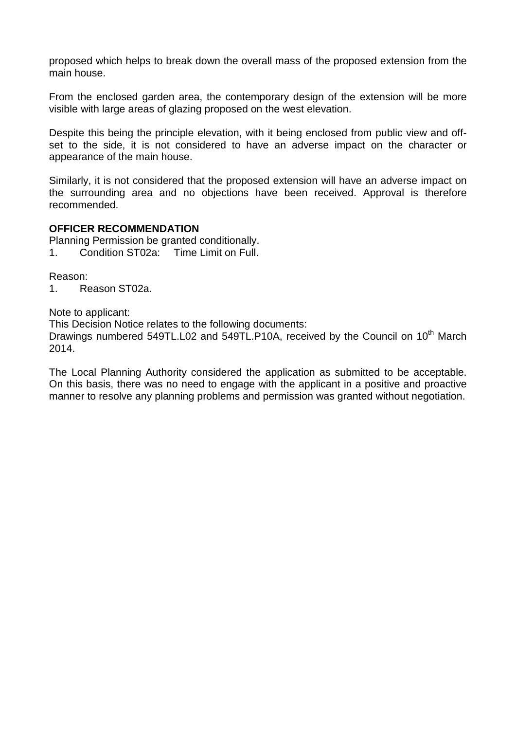proposed which helps to break down the overall mass of the proposed extension from the main house.

From the enclosed garden area, the contemporary design of the extension will be more visible with large areas of glazing proposed on the west elevation.

Despite this being the principle elevation, with it being enclosed from public view and offset to the side, it is not considered to have an adverse impact on the character or appearance of the main house.

Similarly, it is not considered that the proposed extension will have an adverse impact on the surrounding area and no objections have been received. Approval is therefore recommended.

### **OFFICER RECOMMENDATION**

Planning Permission be granted conditionally. 1. Condition ST02a: Time Limit on Full.

Reason:

1. Reason ST02a.

Note to applicant:

This Decision Notice relates to the following documents:

Drawings numbered 549TL.L02 and 549TL.P10A, received by the Council on 10<sup>th</sup> March 2014.

The Local Planning Authority considered the application as submitted to be acceptable. On this basis, there was no need to engage with the applicant in a positive and proactive manner to resolve any planning problems and permission was granted without negotiation.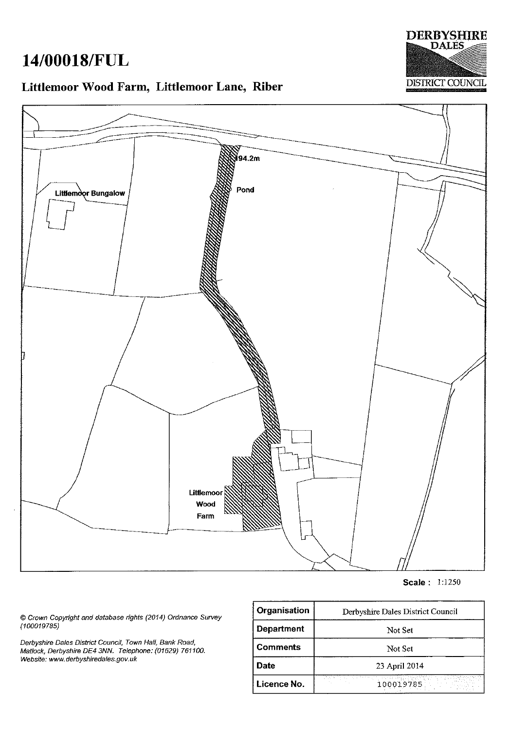# 14/00018/FUL



# Littlemoor Wood Farm, Littlemoor Lane, Riber



**Scale: 1:1250** 

© Crown Copyright and database rights (2014) Ordnance Survey  $(100019785)$ 

Derbyshire Dales District Council, Town Hall, Bank Road, Matlock, Derbyshire DE4 3NN. Telephone: (01629) 761100. Website: www.derbyshiredales.gov.uk

| Organisation                                                   | Derbyshire Dales District Council |  |
|----------------------------------------------------------------|-----------------------------------|--|
| <b>Department</b>                                              | Not Set                           |  |
| <b>Comments</b>                                                | Not Set                           |  |
| Date                                                           | 23 April 2014                     |  |
| inista de porto para a el comunido<br>100019785<br>Licence No. |                                   |  |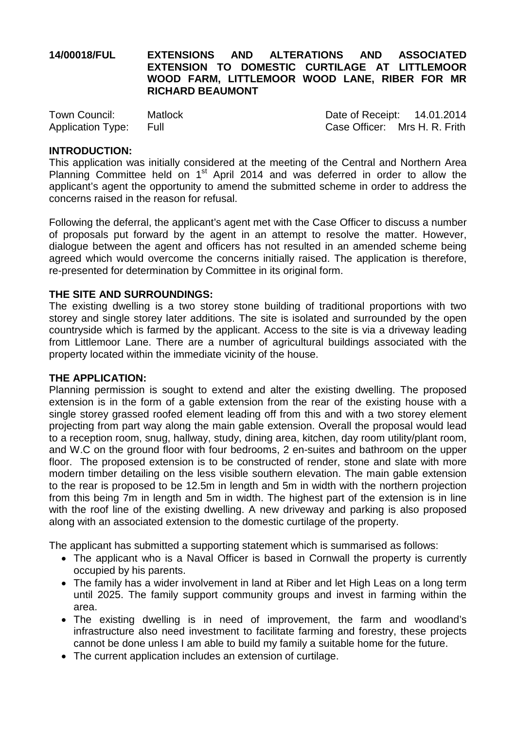# **14/00018/FUL EXTENSIONS AND ALTERATIONS AND ASSOCIATED EXTENSION TO DOMESTIC CURTILAGE AT LITTLEMOOR WOOD FARM, LITTLEMOOR WOOD LANE, RIBER FOR MR RICHARD BEAUMONT**

| Town Council:          | <b>Matlock</b> | Date of Receipt: 14.01.2014   |  |
|------------------------|----------------|-------------------------------|--|
| Application Type: Full |                | Case Officer: Mrs H. R. Frith |  |

### **INTRODUCTION:**

This application was initially considered at the meeting of the Central and Northern Area Planning Committee held on 1<sup>st</sup> April 2014 and was deferred in order to allow the applicant's agent the opportunity to amend the submitted scheme in order to address the concerns raised in the reason for refusal.

Following the deferral, the applicant's agent met with the Case Officer to discuss a number of proposals put forward by the agent in an attempt to resolve the matter. However, dialogue between the agent and officers has not resulted in an amended scheme being agreed which would overcome the concerns initially raised. The application is therefore, re-presented for determination by Committee in its original form.

### **THE SITE AND SURROUNDINGS:**

The existing dwelling is a two storey stone building of traditional proportions with two storey and single storey later additions. The site is isolated and surrounded by the open countryside which is farmed by the applicant. Access to the site is via a driveway leading from Littlemoor Lane. There are a number of agricultural buildings associated with the property located within the immediate vicinity of the house.

### **THE APPLICATION:**

Planning permission is sought to extend and alter the existing dwelling. The proposed extension is in the form of a gable extension from the rear of the existing house with a single storey grassed roofed element leading off from this and with a two storey element projecting from part way along the main gable extension. Overall the proposal would lead to a reception room, snug, hallway, study, dining area, kitchen, day room utility/plant room, and W.C on the ground floor with four bedrooms, 2 en-suites and bathroom on the upper floor. The proposed extension is to be constructed of render, stone and slate with more modern timber detailing on the less visible southern elevation. The main gable extension to the rear is proposed to be 12.5m in length and 5m in width with the northern projection from this being 7m in length and 5m in width. The highest part of the extension is in line with the roof line of the existing dwelling. A new driveway and parking is also proposed along with an associated extension to the domestic curtilage of the property.

The applicant has submitted a supporting statement which is summarised as follows:

- The applicant who is a Naval Officer is based in Cornwall the property is currently occupied by his parents.
- The family has a wider involvement in land at Riber and let High Leas on a long term until 2025. The family support community groups and invest in farming within the area.
- The existing dwelling is in need of improvement, the farm and woodland's infrastructure also need investment to facilitate farming and forestry, these projects cannot be done unless I am able to build my family a suitable home for the future.
- The current application includes an extension of curtilage.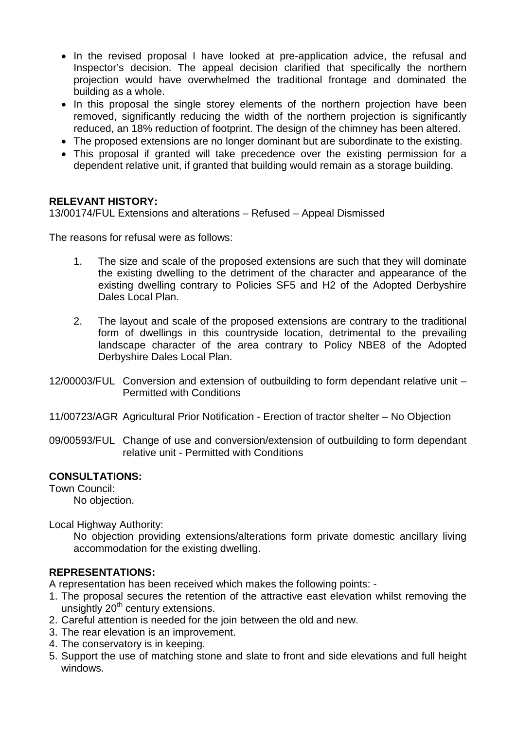- In the revised proposal I have looked at pre-application advice, the refusal and Inspector's decision. The appeal decision clarified that specifically the northern projection would have overwhelmed the traditional frontage and dominated the building as a whole.
- In this proposal the single storey elements of the northern projection have been removed, significantly reducing the width of the northern projection is significantly reduced, an 18% reduction of footprint. The design of the chimney has been altered.
- The proposed extensions are no longer dominant but are subordinate to the existing.
- This proposal if granted will take precedence over the existing permission for a dependent relative unit, if granted that building would remain as a storage building.

# **RELEVANT HISTORY:**

13/00174/FUL Extensions and alterations – Refused – Appeal Dismissed

The reasons for refusal were as follows:

- 1. The size and scale of the proposed extensions are such that they will dominate the existing dwelling to the detriment of the character and appearance of the existing dwelling contrary to Policies SF5 and H2 of the Adopted Derbyshire Dales Local Plan.
- 2. The layout and scale of the proposed extensions are contrary to the traditional form of dwellings in this countryside location, detrimental to the prevailing landscape character of the area contrary to Policy NBE8 of the Adopted Derbyshire Dales Local Plan.
- 12/00003/FUL Conversion and extension of outbuilding to form dependant relative unit Permitted with Conditions
- 11/00723/AGR Agricultural Prior Notification Erection of tractor shelter No Objection
- 09/00593/FUL Change of use and conversion/extension of outbuilding to form dependant relative unit - Permitted with Conditions

# **CONSULTATIONS:**

Town Council:

No objection.

Local Highway Authority:

No objection providing extensions/alterations form private domestic ancillary living accommodation for the existing dwelling.

# **REPRESENTATIONS:**

A representation has been received which makes the following points: -

- 1. The proposal secures the retention of the attractive east elevation whilst removing the unsightly  $20<sup>th</sup>$  century extensions.
- 2. Careful attention is needed for the join between the old and new.
- 3. The rear elevation is an improvement.
- 4. The conservatory is in keeping.
- 5. Support the use of matching stone and slate to front and side elevations and full height windows.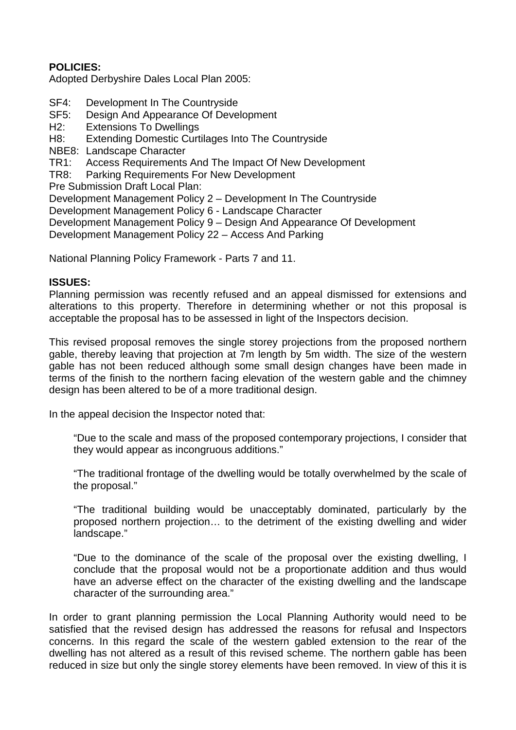# **POLICIES:**

Adopted Derbyshire Dales Local Plan 2005:

- SF4: Development In The Countryside<br>SF5: Design And Appearance Of Deve
- Design And Appearance Of Development
- H2: Extensions To Dwellings
- H8: Extending Domestic Curtilages Into The Countryside
- NBE8: Landscape Character
- TR1: Access Requirements And The Impact Of New Development
- TR8: Parking Requirements For New Development

Pre Submission Draft Local Plan:

Development Management Policy 2 – Development In The Countryside

Development Management Policy 6 - Landscape Character

Development Management Policy 9 – Design And Appearance Of Development

Development Management Policy 22 – Access And Parking

National Planning Policy Framework - Parts 7 and 11.

# **ISSUES:**

Planning permission was recently refused and an appeal dismissed for extensions and alterations to this property. Therefore in determining whether or not this proposal is acceptable the proposal has to be assessed in light of the Inspectors decision.

This revised proposal removes the single storey projections from the proposed northern gable, thereby leaving that projection at 7m length by 5m width. The size of the western gable has not been reduced although some small design changes have been made in terms of the finish to the northern facing elevation of the western gable and the chimney design has been altered to be of a more traditional design.

In the appeal decision the Inspector noted that:

"Due to the scale and mass of the proposed contemporary projections, I consider that they would appear as incongruous additions."

"The traditional frontage of the dwelling would be totally overwhelmed by the scale of the proposal."

"The traditional building would be unacceptably dominated, particularly by the proposed northern projection… to the detriment of the existing dwelling and wider landscape."

"Due to the dominance of the scale of the proposal over the existing dwelling, I conclude that the proposal would not be a proportionate addition and thus would have an adverse effect on the character of the existing dwelling and the landscape character of the surrounding area."

In order to grant planning permission the Local Planning Authority would need to be satisfied that the revised design has addressed the reasons for refusal and Inspectors concerns. In this regard the scale of the western gabled extension to the rear of the dwelling has not altered as a result of this revised scheme. The northern gable has been reduced in size but only the single storey elements have been removed. In view of this it is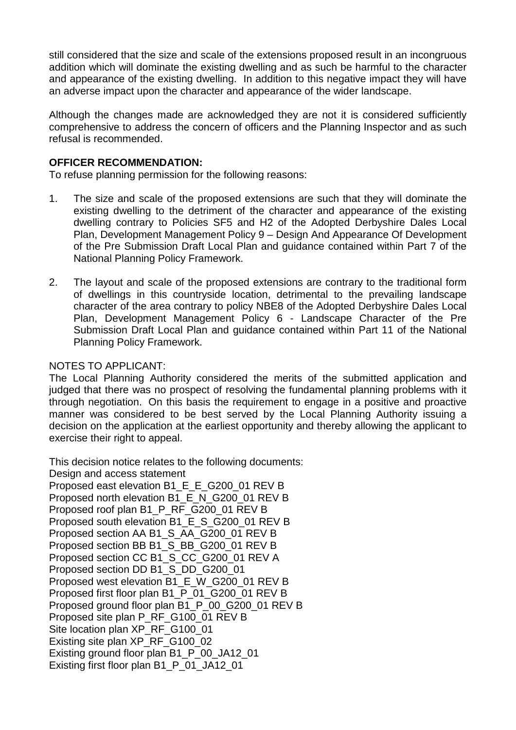still considered that the size and scale of the extensions proposed result in an incongruous addition which will dominate the existing dwelling and as such be harmful to the character and appearance of the existing dwelling. In addition to this negative impact they will have an adverse impact upon the character and appearance of the wider landscape.

Although the changes made are acknowledged they are not it is considered sufficiently comprehensive to address the concern of officers and the Planning Inspector and as such refusal is recommended.

# **OFFICER RECOMMENDATION:**

To refuse planning permission for the following reasons:

- 1. The size and scale of the proposed extensions are such that they will dominate the existing dwelling to the detriment of the character and appearance of the existing dwelling contrary to Policies SF5 and H2 of the Adopted Derbyshire Dales Local Plan, Development Management Policy 9 – Design And Appearance Of Development of the Pre Submission Draft Local Plan and guidance contained within Part 7 of the National Planning Policy Framework.
- 2. The layout and scale of the proposed extensions are contrary to the traditional form of dwellings in this countryside location, detrimental to the prevailing landscape character of the area contrary to policy NBE8 of the Adopted Derbyshire Dales Local Plan, Development Management Policy 6 - Landscape Character of the Pre Submission Draft Local Plan and guidance contained within Part 11 of the National Planning Policy Framework.

### NOTES TO APPLICANT:

The Local Planning Authority considered the merits of the submitted application and judged that there was no prospect of resolving the fundamental planning problems with it through negotiation. On this basis the requirement to engage in a positive and proactive manner was considered to be best served by the Local Planning Authority issuing a decision on the application at the earliest opportunity and thereby allowing the applicant to exercise their right to appeal.

This decision notice relates to the following documents:

Design and access statement

Proposed east elevation B1\_E\_E\_G200\_01 REV B Proposed north elevation B1 E\_N\_G200\_01 REV B Proposed roof plan B1\_P\_RF\_G200\_01 REV B Proposed south elevation B1\_E\_S\_G200\_01 REV B Proposed section AA B1\_S\_AA\_G200\_01 REV B Proposed section BB B1\_S\_BB\_G200\_01 REV B Proposed section CC B1\_S\_CC\_G200\_01 REV A Proposed section DD B1\_S\_DD\_G200\_01 Proposed west elevation B1\_E\_W\_G200\_01 REV B Proposed first floor plan B1\_P\_01\_G200\_01 REV B Proposed ground floor plan B1\_P\_00\_G200\_01 REV B Proposed site plan P\_RF\_G100\_01 REV B Site location plan XP\_RF\_G100\_01 Existing site plan XP\_RF\_G100\_02 Existing ground floor plan B1\_P\_00\_JA12\_01 Existing first floor plan B1\_P\_01\_JA12\_01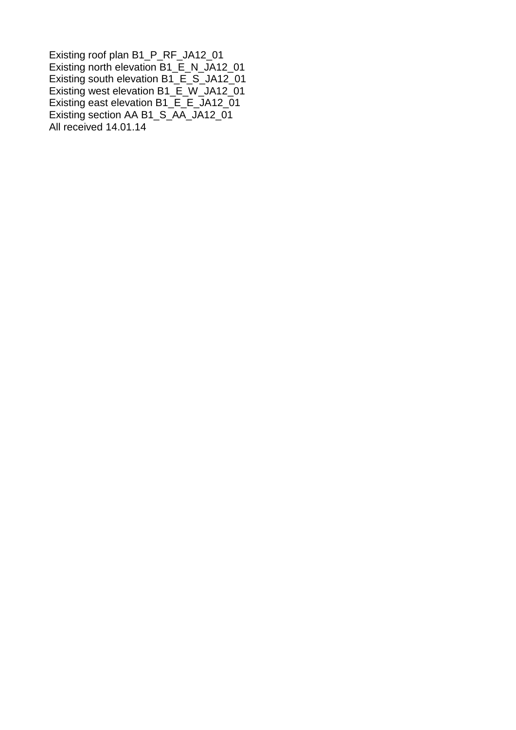Existing roof plan B1\_P\_RF\_JA12\_01 Existing north elevation B1\_E\_N\_JA12\_01 Existing south elevation B1\_E\_S\_JA12\_01 Existing west elevation B1\_E\_W\_JA12\_01 Existing east elevation B1\_E\_E\_JA12\_01 Existing section AA B1\_S\_AA\_JA12\_01 All received 14.01.14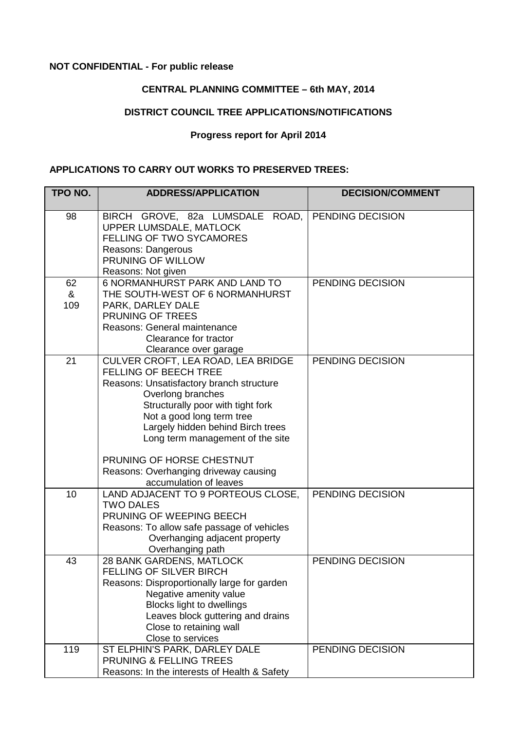# <span id="page-34-0"></span>**NOT CONFIDENTIAL - For public release**

# **CENTRAL PLANNING COMMITTEE – 6th MAY, 2014**

# **DISTRICT COUNCIL TREE APPLICATIONS/NOTIFICATIONS**

### **Progress report for April 2014**

# **APPLICATIONS TO CARRY OUT WORKS TO PRESERVED TREES:**

| TPO NO.        | <b>ADDRESS/APPLICATION</b>                                                                                                                                                                                                                                                                                                                                                     | <b>DECISION/COMMENT</b> |
|----------------|--------------------------------------------------------------------------------------------------------------------------------------------------------------------------------------------------------------------------------------------------------------------------------------------------------------------------------------------------------------------------------|-------------------------|
| 98             | BIRCH GROVE, 82a LUMSDALE<br>ROAD,<br>UPPER LUMSDALE, MATLOCK<br><b>FELLING OF TWO SYCAMORES</b><br>Reasons: Dangerous<br>PRUNING OF WILLOW<br>Reasons: Not given                                                                                                                                                                                                              | PENDING DECISION        |
| 62<br>&<br>109 | <b>6 NORMANHURST PARK AND LAND TO</b><br>THE SOUTH-WEST OF 6 NORMANHURST<br>PARK, DARLEY DALE<br>PRUNING OF TREES<br>Reasons: General maintenance<br>Clearance for tractor<br>Clearance over garage                                                                                                                                                                            | PENDING DECISION        |
| 21             | CULVER CROFT, LEA ROAD, LEA BRIDGE<br><b>FELLING OF BEECH TREE</b><br>Reasons: Unsatisfactory branch structure<br>Overlong branches<br>Structurally poor with tight fork<br>Not a good long term tree<br>Largely hidden behind Birch trees<br>Long term management of the site<br>PRUNING OF HORSE CHESTNUT<br>Reasons: Overhanging driveway causing<br>accumulation of leaves | PENDING DECISION        |
| 10             | LAND ADJACENT TO 9 PORTEOUS CLOSE,<br><b>TWO DALES</b><br>PRUNING OF WEEPING BEECH<br>Reasons: To allow safe passage of vehicles<br>Overhanging adjacent property<br>Overhanging path                                                                                                                                                                                          | PENDING DECISION        |
| 43             | 28 BANK GARDENS, MATLOCK<br><b>FELLING OF SILVER BIRCH</b><br>Reasons: Disproportionally large for garden<br>Negative amenity value<br><b>Blocks light to dwellings</b><br>Leaves block guttering and drains<br>Close to retaining wall<br>Close to services                                                                                                                   | PENDING DECISION        |
| 119            | ST ELPHIN'S PARK, DARLEY DALE<br>PRUNING & FELLING TREES<br>Reasons: In the interests of Health & Safety                                                                                                                                                                                                                                                                       | PENDING DECISION        |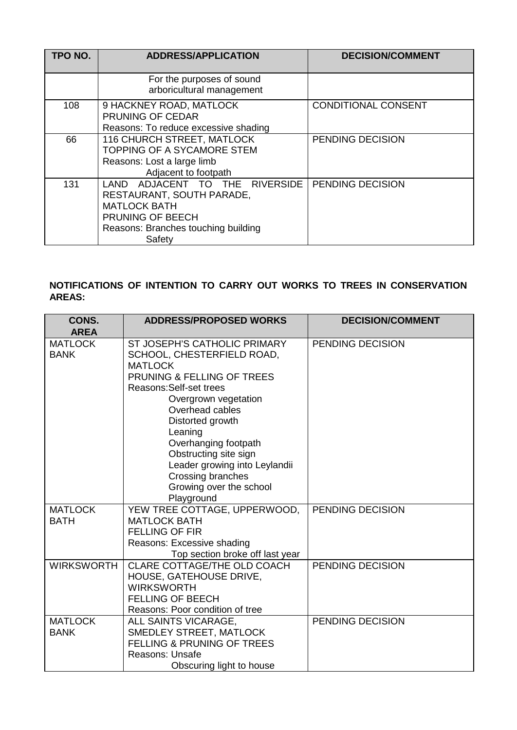| TPO NO. | <b>ADDRESS/APPLICATION</b>                                                                                                                                 | <b>DECISION/COMMENT</b>    |
|---------|------------------------------------------------------------------------------------------------------------------------------------------------------------|----------------------------|
|         | For the purposes of sound<br>arboricultural management                                                                                                     |                            |
| 108     | 9 HACKNEY ROAD, MATLOCK<br>PRUNING OF CEDAR<br>Reasons: To reduce excessive shading                                                                        | <b>CONDITIONAL CONSENT</b> |
| 66      | <b>116 CHURCH STREET, MATLOCK</b><br><b>TOPPING OF A SYCAMORE STEM</b><br>Reasons: Lost a large limb<br>Adjacent to footpath                               | PENDING DECISION           |
| 131     | ADJACENT TO THE RIVERSIDE<br>LAND<br>RESTAURANT, SOUTH PARADE,<br><b>MATLOCK BATH</b><br>PRUNING OF BEECH<br>Reasons: Branches touching building<br>Safety | PENDING DECISION           |

# **NOTIFICATIONS OF INTENTION TO CARRY OUT WORKS TO TREES IN CONSERVATION AREAS:**

| CONS.             | <b>ADDRESS/PROPOSED WORKS</b>         | <b>DECISION/COMMENT</b> |
|-------------------|---------------------------------------|-------------------------|
| <b>AREA</b>       |                                       |                         |
| <b>MATLOCK</b>    | ST JOSEPH'S CATHOLIC PRIMARY          | PENDING DECISION        |
| <b>BANK</b>       | SCHOOL, CHESTERFIELD ROAD,            |                         |
|                   | <b>MATLOCK</b>                        |                         |
|                   | <b>PRUNING &amp; FELLING OF TREES</b> |                         |
|                   | Reasons: Self-set trees               |                         |
|                   | Overgrown vegetation                  |                         |
|                   | Overhead cables                       |                         |
|                   | Distorted growth                      |                         |
|                   | Leaning                               |                         |
|                   | Overhanging footpath                  |                         |
|                   | Obstructing site sign                 |                         |
|                   | Leader growing into Leylandii         |                         |
|                   | Crossing branches                     |                         |
|                   | Growing over the school               |                         |
|                   | Playground                            |                         |
| <b>MATLOCK</b>    | YEW TREE COTTAGE, UPPERWOOD,          | PENDING DECISION        |
| <b>BATH</b>       | <b>MATLOCK BATH</b>                   |                         |
|                   | <b>FELLING OF FIR</b>                 |                         |
|                   | Reasons: Excessive shading            |                         |
|                   | Top section broke off last year       |                         |
| <b>WIRKSWORTH</b> | CLARE COTTAGE/THE OLD COACH           | PENDING DECISION        |
|                   | HOUSE, GATEHOUSE DRIVE,               |                         |
|                   | <b>WIRKSWORTH</b>                     |                         |
|                   | <b>FELLING OF BEECH</b>               |                         |
|                   | Reasons: Poor condition of tree       |                         |
| <b>MATLOCK</b>    | ALL SAINTS VICARAGE,                  | PENDING DECISION        |
| <b>BANK</b>       | <b>SMEDLEY STREET, MATLOCK</b>        |                         |
|                   | <b>FELLING &amp; PRUNING OF TREES</b> |                         |
|                   | Reasons: Unsafe                       |                         |
|                   | Obscuring light to house              |                         |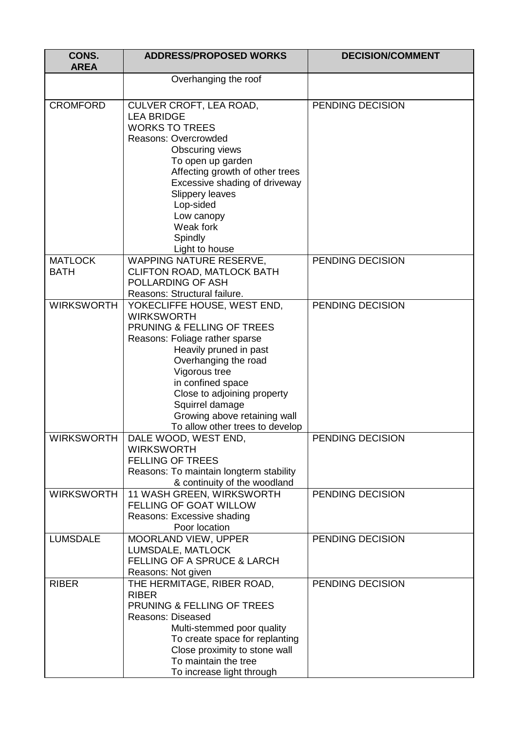| CONS.<br><b>AREA</b>          | <b>ADDRESS/PROPOSED WORKS</b>                                                                                                                                                                                                                                                                                                 | <b>DECISION/COMMENT</b> |
|-------------------------------|-------------------------------------------------------------------------------------------------------------------------------------------------------------------------------------------------------------------------------------------------------------------------------------------------------------------------------|-------------------------|
|                               | Overhanging the roof                                                                                                                                                                                                                                                                                                          |                         |
| <b>CROMFORD</b>               | CULVER CROFT, LEA ROAD,<br><b>LEA BRIDGE</b><br><b>WORKS TO TREES</b><br>Reasons: Overcrowded<br>Obscuring views<br>To open up garden<br>Affecting growth of other trees<br>Excessive shading of driveway<br><b>Slippery leaves</b><br>Lop-sided<br>Low canopy<br>Weak fork<br>Spindly                                        | PENDING DECISION        |
| <b>MATLOCK</b><br><b>BATH</b> | Light to house<br>WAPPING NATURE RESERVE,<br>CLIFTON ROAD, MATLOCK BATH<br>POLLARDING OF ASH<br>Reasons: Structural failure.                                                                                                                                                                                                  | PENDING DECISION        |
| <b>WIRKSWORTH</b>             | YOKECLIFFE HOUSE, WEST END,<br><b>WIRKSWORTH</b><br>PRUNING & FELLING OF TREES<br>Reasons: Foliage rather sparse<br>Heavily pruned in past<br>Overhanging the road<br>Vigorous tree<br>in confined space<br>Close to adjoining property<br>Squirrel damage<br>Growing above retaining wall<br>To allow other trees to develop | PENDING DECISION        |
| WIRKSWORTH                    | DALE WOOD, WEST END,<br><b>WIRKSWORTH</b><br><b>FELLING OF TREES</b><br>Reasons: To maintain longterm stability<br>& continuity of the woodland                                                                                                                                                                               | PENDING DECISION        |
| <b>WIRKSWORTH</b>             | 11 WASH GREEN, WIRKSWORTH<br><b>FELLING OF GOAT WILLOW</b><br>Reasons: Excessive shading<br>Poor location                                                                                                                                                                                                                     | PENDING DECISION        |
| <b>LUMSDALE</b>               | MOORLAND VIEW, UPPER<br>LUMSDALE, MATLOCK<br><b>FELLING OF A SPRUCE &amp; LARCH</b><br>Reasons: Not given                                                                                                                                                                                                                     | PENDING DECISION        |
| <b>RIBER</b>                  | THE HERMITAGE, RIBER ROAD,<br><b>RIBER</b><br>PRUNING & FELLING OF TREES<br><b>Reasons: Diseased</b><br>Multi-stemmed poor quality<br>To create space for replanting<br>Close proximity to stone wall<br>To maintain the tree<br>To increase light through                                                                    | PENDING DECISION        |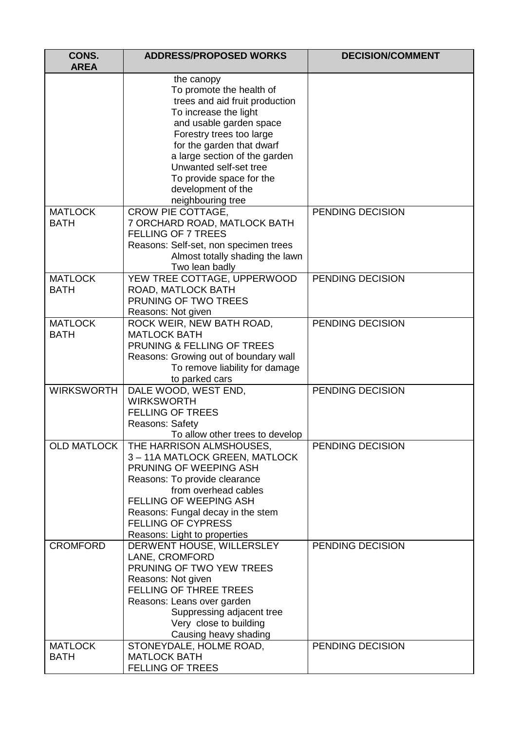| CONS.<br><b>AREA</b>          | <b>ADDRESS/PROPOSED WORKS</b>                                                                                                                                                                                                                                                                                           | <b>DECISION/COMMENT</b> |
|-------------------------------|-------------------------------------------------------------------------------------------------------------------------------------------------------------------------------------------------------------------------------------------------------------------------------------------------------------------------|-------------------------|
|                               | the canopy<br>To promote the health of<br>trees and aid fruit production<br>To increase the light<br>and usable garden space<br>Forestry trees too large<br>for the garden that dwarf<br>a large section of the garden<br>Unwanted self-set tree<br>To provide space for the<br>development of the<br>neighbouring tree |                         |
| <b>MATLOCK</b><br><b>BATH</b> | CROW PIE COTTAGE,<br>7 ORCHARD ROAD, MATLOCK BATH<br><b>FELLING OF 7 TREES</b><br>Reasons: Self-set, non specimen trees<br>Almost totally shading the lawn<br>Two lean badly                                                                                                                                            | PENDING DECISION        |
| <b>MATLOCK</b><br><b>BATH</b> | YEW TREE COTTAGE, UPPERWOOD<br>ROAD, MATLOCK BATH<br>PRUNING OF TWO TREES<br>Reasons: Not given                                                                                                                                                                                                                         | PENDING DECISION        |
| <b>MATLOCK</b><br><b>BATH</b> | ROCK WEIR, NEW BATH ROAD,<br><b>MATLOCK BATH</b><br>PRUNING & FELLING OF TREES<br>Reasons: Growing out of boundary wall<br>To remove liability for damage<br>to parked cars                                                                                                                                             | PENDING DECISION        |
| <b>WIRKSWORTH</b>             | DALE WOOD, WEST END,<br><b>WIRKSWORTH</b><br><b>FELLING OF TREES</b><br><b>Reasons: Safety</b><br>To allow other trees to develop                                                                                                                                                                                       | PENDING DECISION        |
|                               | OLD MATLOCK   THE HARRISON ALMSHOUSES,<br>3-11A MATLOCK GREEN, MATLOCK<br>PRUNING OF WEEPING ASH<br>Reasons: To provide clearance<br>from overhead cables<br><b>FELLING OF WEEPING ASH</b><br>Reasons: Fungal decay in the stem<br><b>FELLING OF CYPRESS</b><br>Reasons: Light to properties                            | PENDING DECISION        |
| <b>CROMFORD</b>               | DERWENT HOUSE, WILLERSLEY<br>LANE, CROMFORD<br>PRUNING OF TWO YEW TREES<br>Reasons: Not given<br><b>FELLING OF THREE TREES</b><br>Reasons: Leans over garden<br>Suppressing adjacent tree<br>Very close to building<br>Causing heavy shading                                                                            | PENDING DECISION        |
| <b>MATLOCK</b><br><b>BATH</b> | STONEYDALE, HOLME ROAD,<br><b>MATLOCK BATH</b><br><b>FELLING OF TREES</b>                                                                                                                                                                                                                                               | PENDING DECISION        |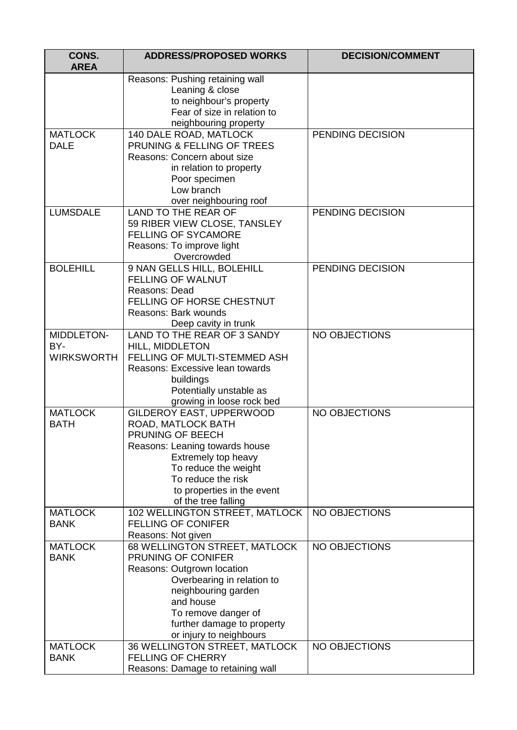| CONS.<br><b>AREA</b>                   | <b>ADDRESS/PROPOSED WORKS</b>                                                                                                                                                                                                         | <b>DECISION/COMMENT</b> |
|----------------------------------------|---------------------------------------------------------------------------------------------------------------------------------------------------------------------------------------------------------------------------------------|-------------------------|
|                                        | Reasons: Pushing retaining wall<br>Leaning & close<br>to neighbour's property<br>Fear of size in relation to<br>neighbouring property                                                                                                 |                         |
| <b>MATLOCK</b><br><b>DALE</b>          | 140 DALE ROAD, MATLOCK<br>PRUNING & FELLING OF TREES<br>Reasons: Concern about size<br>in relation to property<br>Poor specimen<br>Low branch<br>over neighbouring roof                                                               | PENDING DECISION        |
| <b>LUMSDALE</b>                        | LAND TO THE REAR OF<br>59 RIBER VIEW CLOSE, TANSLEY<br><b>FELLING OF SYCAMORE</b><br>Reasons: To improve light<br>Overcrowded                                                                                                         | PENDING DECISION        |
| <b>BOLEHILL</b>                        | 9 NAN GELLS HILL, BOLEHILL<br><b>FELLING OF WALNUT</b><br>Reasons: Dead<br>FELLING OF HORSE CHESTNUT<br>Reasons: Bark wounds<br>Deep cavity in trunk                                                                                  | PENDING DECISION        |
| MIDDLETON-<br>BY-<br><b>WIRKSWORTH</b> | LAND TO THE REAR OF 3 SANDY<br>HILL, MIDDLETON<br>FELLING OF MULTI-STEMMED ASH<br>Reasons: Excessive lean towards<br>buildings<br>Potentially unstable as<br>growing in loose rock bed                                                | <b>NO OBJECTIONS</b>    |
| <b>MATLOCK</b><br><b>BATH</b>          | GILDEROY EAST, UPPERWOOD<br>ROAD, MATLOCK BATH<br><b>PRUNING OF BEECH</b><br>Reasons: Leaning towards house<br>Extremely top heavy<br>To reduce the weight<br>To reduce the risk<br>to properties in the event<br>of the tree falling | <b>NO OBJECTIONS</b>    |
| <b>MATLOCK</b><br><b>BANK</b>          | 102 WELLINGTON STREET, MATLOCK<br><b>FELLING OF CONIFER</b><br>Reasons: Not given                                                                                                                                                     | <b>NO OBJECTIONS</b>    |
| <b>MATLOCK</b><br><b>BANK</b>          | 68 WELLINGTON STREET, MATLOCK<br>PRUNING OF CONIFER<br>Reasons: Outgrown location<br>Overbearing in relation to<br>neighbouring garden<br>and house<br>To remove danger of<br>further damage to property<br>or injury to neighbours   | <b>NO OBJECTIONS</b>    |
| <b>MATLOCK</b><br><b>BANK</b>          | 36 WELLINGTON STREET, MATLOCK<br><b>FELLING OF CHERRY</b><br>Reasons: Damage to retaining wall                                                                                                                                        | <b>NO OBJECTIONS</b>    |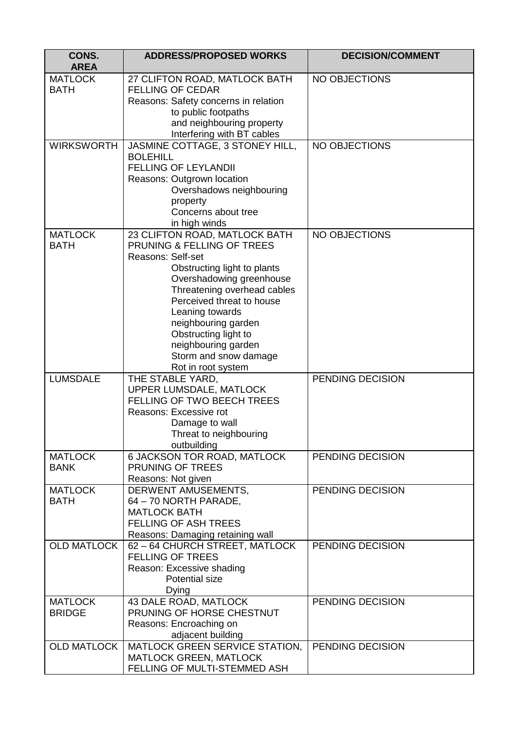| CONS.<br><b>AREA</b>          | <b>ADDRESS/PROPOSED WORKS</b>                               | <b>DECISION/COMMENT</b> |
|-------------------------------|-------------------------------------------------------------|-------------------------|
| <b>MATLOCK</b>                | 27 CLIFTON ROAD, MATLOCK BATH                               | <b>NO OBJECTIONS</b>    |
| <b>BATH</b>                   | <b>FELLING OF CEDAR</b>                                     |                         |
|                               | Reasons: Safety concerns in relation                        |                         |
|                               | to public footpaths                                         |                         |
|                               | and neighbouring property                                   |                         |
|                               | Interfering with BT cables                                  |                         |
| <b>WIRKSWORTH</b>             | JASMINE COTTAGE, 3 STONEY HILL,                             | <b>NO OBJECTIONS</b>    |
|                               | <b>BOLEHILL</b>                                             |                         |
|                               | <b>FELLING OF LEYLANDII</b>                                 |                         |
|                               | Reasons: Outgrown location                                  |                         |
|                               | Overshadows neighbouring                                    |                         |
|                               | property                                                    |                         |
|                               | Concerns about tree                                         |                         |
|                               | in high winds                                               |                         |
| <b>MATLOCK</b><br><b>BATH</b> | 23 CLIFTON ROAD, MATLOCK BATH<br>PRUNING & FELLING OF TREES | <b>NO OBJECTIONS</b>    |
|                               | <b>Reasons: Self-set</b>                                    |                         |
|                               | Obstructing light to plants                                 |                         |
|                               | Overshadowing greenhouse                                    |                         |
|                               | Threatening overhead cables                                 |                         |
|                               | Perceived threat to house                                   |                         |
|                               | Leaning towards                                             |                         |
|                               | neighbouring garden                                         |                         |
|                               | Obstructing light to                                        |                         |
|                               | neighbouring garden                                         |                         |
|                               | Storm and snow damage                                       |                         |
|                               | Rot in root system                                          |                         |
| <b>LUMSDALE</b>               | THE STABLE YARD,                                            | PENDING DECISION        |
|                               | UPPER LUMSDALE, MATLOCK                                     |                         |
|                               | <b>FELLING OF TWO BEECH TREES</b>                           |                         |
|                               | Reasons: Excessive rot                                      |                         |
|                               | Damage to wall                                              |                         |
|                               | Threat to neighbouring<br>outbuilding                       |                         |
| <b>MATLOCK</b>                | 6 JACKSON TOR ROAD, MATLOCK                                 | PENDING DECISION        |
| <b>BANK</b>                   | PRUNING OF TREES                                            |                         |
|                               | Reasons: Not given                                          |                         |
| <b>MATLOCK</b>                | DERWENT AMUSEMENTS,                                         | PENDING DECISION        |
| <b>BATH</b>                   | 64 - 70 NORTH PARADE,                                       |                         |
|                               | <b>MATLOCK BATH</b>                                         |                         |
|                               | FELLING OF ASH TREES                                        |                         |
|                               | Reasons: Damaging retaining wall                            |                         |
| <b>OLD MATLOCK</b>            | 62 - 64 CHURCH STREET, MATLOCK                              | PENDING DECISION        |
|                               | <b>FELLING OF TREES</b>                                     |                         |
|                               | Reason: Excessive shading                                   |                         |
|                               | <b>Potential size</b>                                       |                         |
|                               | Dying                                                       |                         |
| <b>MATLOCK</b>                | 43 DALE ROAD, MATLOCK                                       | PENDING DECISION        |
| <b>BRIDGE</b>                 | PRUNING OF HORSE CHESTNUT                                   |                         |
|                               | Reasons: Encroaching on<br>adjacent building                |                         |
| <b>OLD MATLOCK</b>            | MATLOCK GREEN SERVICE STATION,                              | PENDING DECISION        |
|                               | <b>MATLOCK GREEN, MATLOCK</b>                               |                         |
|                               | FELLING OF MULTI-STEMMED ASH                                |                         |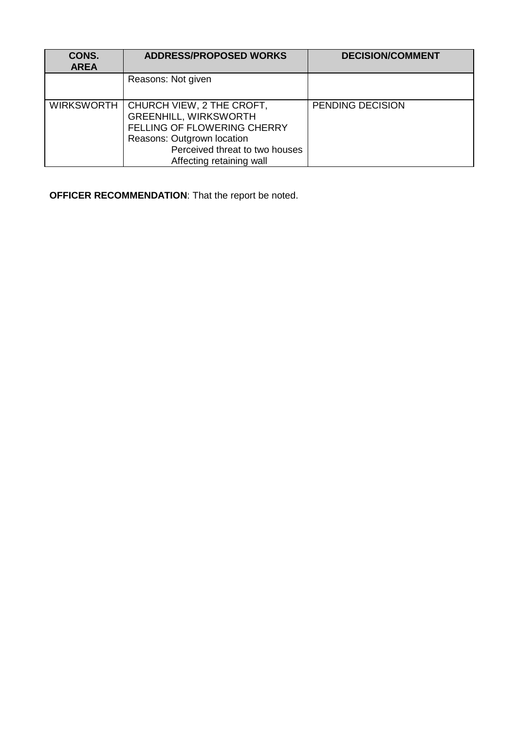| CONS.<br><b>AREA</b> | <b>ADDRESS/PROPOSED WORKS</b>                                                                                                                                                        | <b>DECISION/COMMENT</b> |
|----------------------|--------------------------------------------------------------------------------------------------------------------------------------------------------------------------------------|-------------------------|
|                      | Reasons: Not given                                                                                                                                                                   |                         |
| <b>WIRKSWORTH</b>    | CHURCH VIEW, 2 THE CROFT,<br><b>GREENHILL, WIRKSWORTH</b><br>FELLING OF FLOWERING CHERRY<br>Reasons: Outgrown location<br>Perceived threat to two houses<br>Affecting retaining wall | PENDING DECISION        |

**OFFICER RECOMMENDATION**: That the report be noted.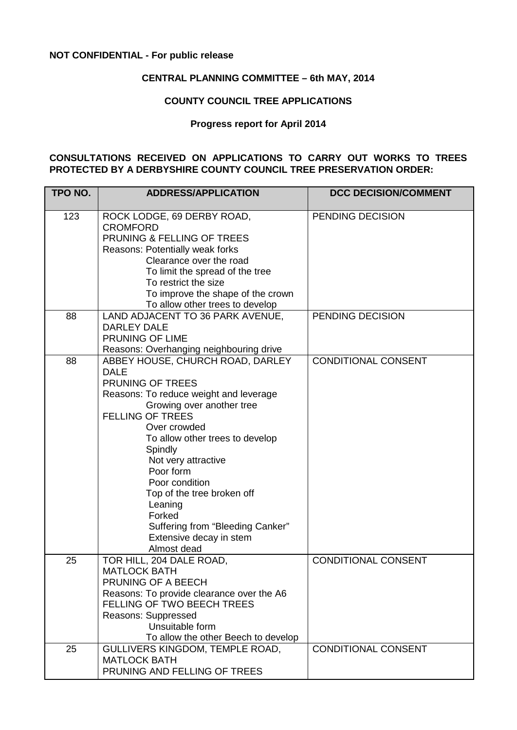# <span id="page-41-0"></span>**NOT CONFIDENTIAL - For public release**

# **CENTRAL PLANNING COMMITTEE – 6th MAY, 2014**

### **COUNTY COUNCIL TREE APPLICATIONS**

#### **Progress report for April 2014**

#### **CONSULTATIONS RECEIVED ON APPLICATIONS TO CARRY OUT WORKS TO TREES PROTECTED BY A DERBYSHIRE COUNTY COUNCIL TREE PRESERVATION ORDER:**

| TPO NO. | <b>ADDRESS/APPLICATION</b>                                                                                                                                                                                                                                                                                                                                                                                                 | <b>DCC DECISION/COMMENT</b> |
|---------|----------------------------------------------------------------------------------------------------------------------------------------------------------------------------------------------------------------------------------------------------------------------------------------------------------------------------------------------------------------------------------------------------------------------------|-----------------------------|
| 123     | ROCK LODGE, 69 DERBY ROAD,<br><b>CROMFORD</b><br>PRUNING & FELLING OF TREES<br>Reasons: Potentially weak forks<br>Clearance over the road<br>To limit the spread of the tree<br>To restrict the size<br>To improve the shape of the crown<br>To allow other trees to develop                                                                                                                                               | PENDING DECISION            |
| 88      | LAND ADJACENT TO 36 PARK AVENUE,<br><b>DARLEY DALE</b><br>PRUNING OF LIME<br>Reasons: Overhanging neighbouring drive                                                                                                                                                                                                                                                                                                       | PENDING DECISION            |
| 88      | ABBEY HOUSE, CHURCH ROAD, DARLEY<br><b>DALE</b><br>PRUNING OF TREES<br>Reasons: To reduce weight and leverage<br>Growing over another tree<br><b>FELLING OF TREES</b><br>Over crowded<br>To allow other trees to develop<br>Spindly<br>Not very attractive<br>Poor form<br>Poor condition<br>Top of the tree broken off<br>Leaning<br>Forked<br>Suffering from "Bleeding Canker"<br>Extensive decay in stem<br>Almost dead | <b>CONDITIONAL CONSENT</b>  |
| 25      | TOR HILL, 204 DALE ROAD,<br><b>MATLOCK BATH</b><br>PRUNING OF A BEECH<br>Reasons: To provide clearance over the A6<br><b>FELLING OF TWO BEECH TREES</b><br>Reasons: Suppressed<br>Unsuitable form<br>To allow the other Beech to develop                                                                                                                                                                                   | CONDITIONAL CONSENT         |
| 25      | GULLIVERS KINGDOM, TEMPLE ROAD,<br><b>MATLOCK BATH</b><br>PRUNING AND FELLING OF TREES                                                                                                                                                                                                                                                                                                                                     | <b>CONDITIONAL CONSENT</b>  |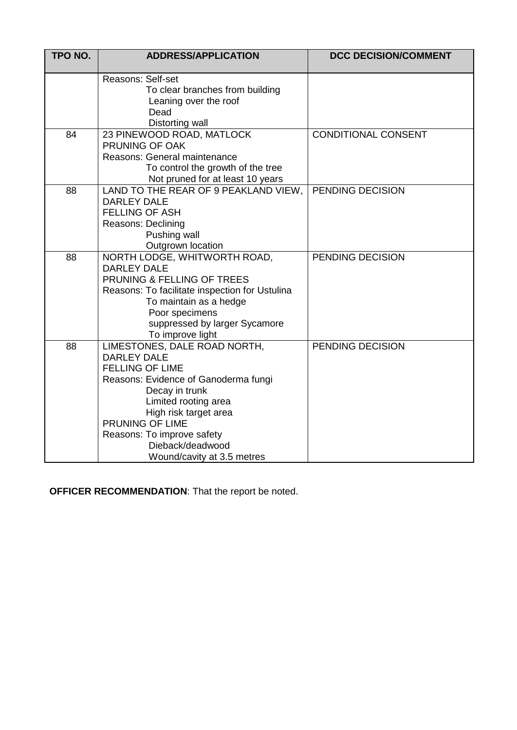| TPO NO. | <b>ADDRESS/APPLICATION</b>                                                                                                                                                                                                                                                                 | <b>DCC DECISION/COMMENT</b> |
|---------|--------------------------------------------------------------------------------------------------------------------------------------------------------------------------------------------------------------------------------------------------------------------------------------------|-----------------------------|
|         | Reasons: Self-set<br>To clear branches from building<br>Leaning over the roof<br>Dead<br>Distorting wall                                                                                                                                                                                   |                             |
| 84      | 23 PINEWOOD ROAD, MATLOCK<br>PRUNING OF OAK<br>Reasons: General maintenance<br>To control the growth of the tree<br>Not pruned for at least 10 years                                                                                                                                       | CONDITIONAL CONSENT         |
| 88      | LAND TO THE REAR OF 9 PEAKLAND VIEW,<br><b>DARLEY DALE</b><br><b>FELLING OF ASH</b><br>Reasons: Declining<br>Pushing wall<br>Outgrown location                                                                                                                                             | <b>PENDING DECISION</b>     |
| 88      | NORTH LODGE, WHITWORTH ROAD,<br><b>DARLEY DALE</b><br>PRUNING & FELLING OF TREES<br>Reasons: To facilitate inspection for Ustulina<br>To maintain as a hedge<br>Poor specimens<br>suppressed by larger Sycamore<br>To improve light                                                        | PENDING DECISION            |
| 88      | LIMESTONES, DALE ROAD NORTH,<br><b>DARLEY DALE</b><br><b>FELLING OF LIME</b><br>Reasons: Evidence of Ganoderma fungi<br>Decay in trunk<br>Limited rooting area<br>High risk target area<br>PRUNING OF LIME<br>Reasons: To improve safety<br>Dieback/deadwood<br>Wound/cavity at 3.5 metres | PENDING DECISION            |

**OFFICER RECOMMENDATION**: That the report be noted.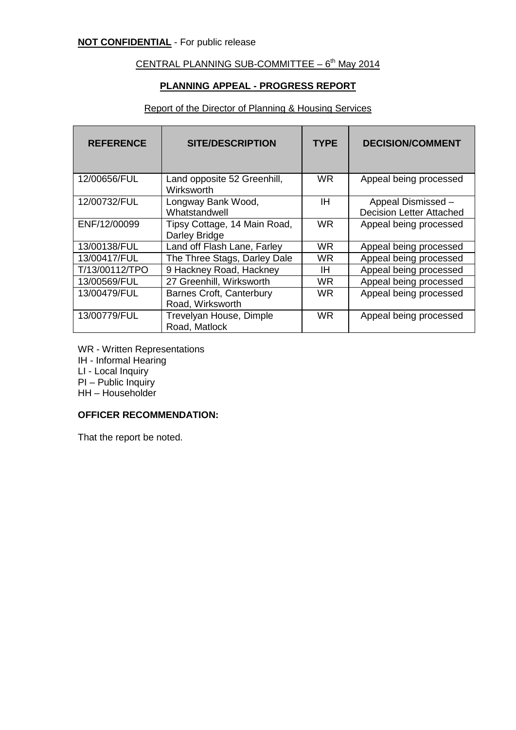# <span id="page-43-0"></span>CENTRAL PLANNING SUB-COMMITTEE  $-6<sup>th</sup>$  May 2014

### **PLANNING APPEAL - PROGRESS REPORT**

### Report of the Director of Planning & Housing Services

| <b>REFERENCE</b> | <b>SITE/DESCRIPTION</b>                             | <b>TYPE</b> | <b>DECISION/COMMENT</b>                               |
|------------------|-----------------------------------------------------|-------------|-------------------------------------------------------|
| 12/00656/FUL     | Land opposite 52 Greenhill,<br>Wirksworth           | WR.         | Appeal being processed                                |
| 12/00732/FUL     | Longway Bank Wood,<br>Whatstandwell                 | ΙH          | Appeal Dismissed -<br><b>Decision Letter Attached</b> |
| ENF/12/00099     | Tipsy Cottage, 14 Main Road,<br>Darley Bridge       | WR.         | Appeal being processed                                |
| 13/00138/FUL     | Land off Flash Lane, Farley                         | WR.         | Appeal being processed                                |
| 13/00417/FUL     | The Three Stags, Darley Dale                        | WR.         | Appeal being processed                                |
| T/13/00112/TPO   | 9 Hackney Road, Hackney                             | IH          | Appeal being processed                                |
| 13/00569/FUL     | 27 Greenhill, Wirksworth                            | WR.         | Appeal being processed                                |
| 13/00479/FUL     | <b>Barnes Croft, Canterbury</b><br>Road, Wirksworth | <b>WR</b>   | Appeal being processed                                |
| 13/00779/FUL     | Trevelyan House, Dimple<br>Road, Matlock            | <b>WR</b>   | Appeal being processed                                |

- WR Written Representations
- IH Informal Hearing

LI - Local Inquiry

PI – Public Inquiry

HH – Householder

# **OFFICER RECOMMENDATION:**

That the report be noted.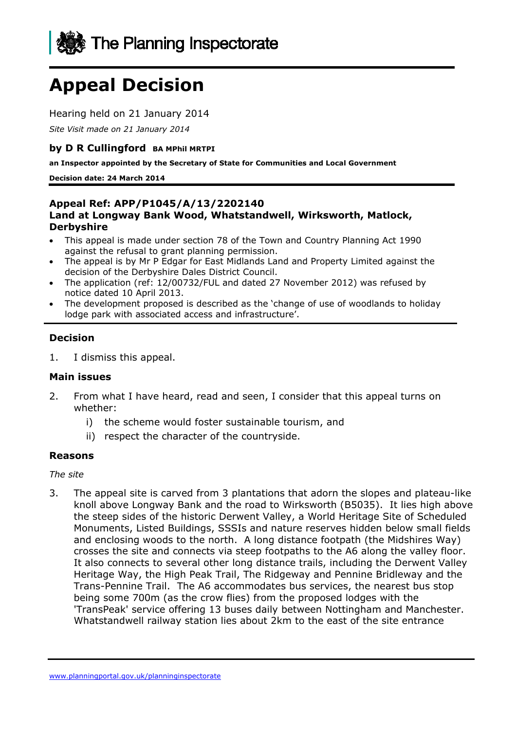

# **Appeal Decision**

Hearing held on 21 January 2014

*Site Visit made on 21 January 2014* 

### **by D R Cullingford BA MPhil MRTPI**

**an Inspector appointed by the Secretary of State for Communities and Local Government** 

**Decision date: 24 March 2014** 

### **Appeal Ref: APP/P1045/A/13/2202140 Land at Longway Bank Wood, Whatstandwell, Wirksworth, Matlock, Derbyshire**

- This appeal is made under section 78 of the Town and Country Planning Act 1990 against the refusal to grant planning permission.
- The appeal is by Mr P Edgar for East Midlands Land and Property Limited against the decision of the Derbyshire Dales District Council.
- The application (ref: 12/00732/FUL and dated 27 November 2012) was refused by notice dated 10 April 2013.
- The development proposed is described as the 'change of use of woodlands to holiday lodge park with associated access and infrastructure'.

### **Decision**

1. I dismiss this appeal.

### **Main issues**

- 2. From what I have heard, read and seen, I consider that this appeal turns on whether:
	- i) the scheme would foster sustainable tourism, and
	- ii) respect the character of the countryside.

### **Reasons**

*The site* 

3. The appeal site is carved from 3 plantations that adorn the slopes and plateau-like knoll above Longway Bank and the road to Wirksworth (B5035). It lies high above the steep sides of the historic Derwent Valley, a World Heritage Site of Scheduled Monuments, Listed Buildings, SSSIs and nature reserves hidden below small fields and enclosing woods to the north. A long distance footpath (the Midshires Way) crosses the site and connects via steep footpaths to the A6 along the valley floor. It also connects to several other long distance trails, including the Derwent Valley Heritage Way, the High Peak Trail, The Ridgeway and Pennine Bridleway and the Trans-Pennine Trail. The A6 accommodates bus services, the nearest bus stop being some 700m (as the crow flies) from the proposed lodges with the 'TransPeak' service offering 13 buses daily between Nottingham and Manchester. Whatstandwell railway station lies about 2km to the east of the site entrance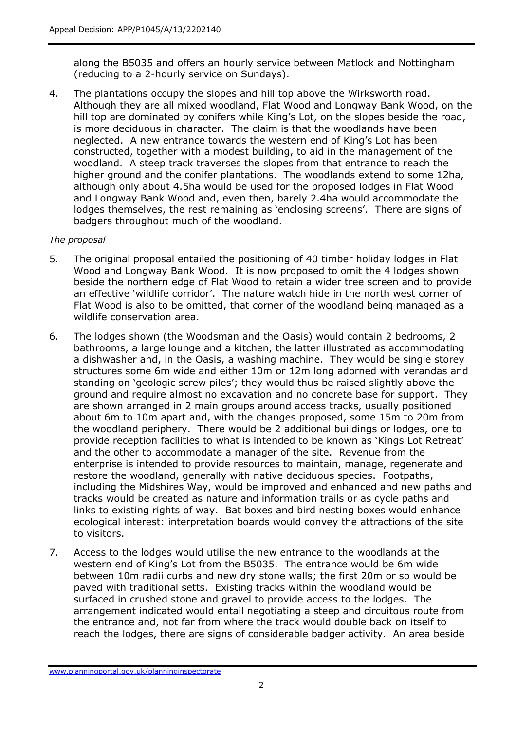along the B5035 and offers an hourly service between Matlock and Nottingham (reducing to a 2-hourly service on Sundays).

4. The plantations occupy the slopes and hill top above the Wirksworth road. Although they are all mixed woodland, Flat Wood and Longway Bank Wood, on the hill top are dominated by conifers while King's Lot, on the slopes beside the road, is more deciduous in character. The claim is that the woodlands have been neglected. A new entrance towards the western end of King's Lot has been constructed, together with a modest building, to aid in the management of the woodland. A steep track traverses the slopes from that entrance to reach the higher ground and the conifer plantations. The woodlands extend to some 12ha, although only about 4.5ha would be used for the proposed lodges in Flat Wood and Longway Bank Wood and, even then, barely 2.4ha would accommodate the lodges themselves, the rest remaining as 'enclosing screens'. There are signs of badgers throughout much of the woodland.

### *The proposal*

- 5. The original proposal entailed the positioning of 40 timber holiday lodges in Flat Wood and Longway Bank Wood. It is now proposed to omit the 4 lodges shown beside the northern edge of Flat Wood to retain a wider tree screen and to provide an effective 'wildlife corridor'. The nature watch hide in the north west corner of Flat Wood is also to be omitted, that corner of the woodland being managed as a wildlife conservation area.
- 6. The lodges shown (the Woodsman and the Oasis) would contain 2 bedrooms, 2 bathrooms, a large lounge and a kitchen, the latter illustrated as accommodating a dishwasher and, in the Oasis, a washing machine. They would be single storey structures some 6m wide and either 10m or 12m long adorned with verandas and standing on 'geologic screw piles'; they would thus be raised slightly above the ground and require almost no excavation and no concrete base for support. They are shown arranged in 2 main groups around access tracks, usually positioned about 6m to 10m apart and, with the changes proposed, some 15m to 20m from the woodland periphery. There would be 2 additional buildings or lodges, one to provide reception facilities to what is intended to be known as 'Kings Lot Retreat' and the other to accommodate a manager of the site. Revenue from the enterprise is intended to provide resources to maintain, manage, regenerate and restore the woodland, generally with native deciduous species. Footpaths, including the Midshires Way, would be improved and enhanced and new paths and tracks would be created as nature and information trails or as cycle paths and links to existing rights of way. Bat boxes and bird nesting boxes would enhance ecological interest: interpretation boards would convey the attractions of the site to visitors.
- 7. Access to the lodges would utilise the new entrance to the woodlands at the western end of King's Lot from the B5035. The entrance would be 6m wide between 10m radii curbs and new dry stone walls; the first 20m or so would be paved with traditional setts. Existing tracks within the woodland would be surfaced in crushed stone and gravel to provide access to the lodges. The arrangement indicated would entail negotiating a steep and circuitous route from the entrance and, not far from where the track would double back on itself to reach the lodges, there are signs of considerable badger activity. An area beside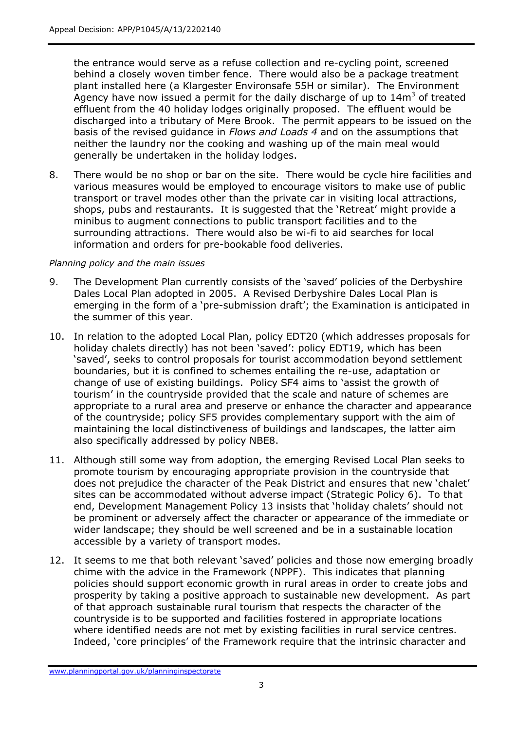the entrance would serve as a refuse collection and re-cycling point, screened behind a closely woven timber fence. There would also be a package treatment plant installed here (a Klargester Environsafe 55H or similar). The Environment Agency have now issued a permit for the daily discharge of up to  $14\text{m}^3$  of treated effluent from the 40 holiday lodges originally proposed. The effluent would be discharged into a tributary of Mere Brook. The permit appears to be issued on the basis of the revised guidance in *Flows and Loads 4* and on the assumptions that neither the laundry nor the cooking and washing up of the main meal would generally be undertaken in the holiday lodges.

8. There would be no shop or bar on the site. There would be cycle hire facilities and various measures would be employed to encourage visitors to make use of public transport or travel modes other than the private car in visiting local attractions, shops, pubs and restaurants. It is suggested that the 'Retreat' might provide a minibus to augment connections to public transport facilities and to the surrounding attractions. There would also be wi-fi to aid searches for local information and orders for pre-bookable food deliveries.

### *Planning policy and the main issues*

- 9. The Development Plan currently consists of the 'saved' policies of the Derbyshire Dales Local Plan adopted in 2005. A Revised Derbyshire Dales Local Plan is emerging in the form of a 'pre-submission draft'; the Examination is anticipated in the summer of this year.
- 10. In relation to the adopted Local Plan, policy EDT20 (which addresses proposals for holiday chalets directly) has not been 'saved': policy EDT19, which has been 'saved', seeks to control proposals for tourist accommodation beyond settlement boundaries, but it is confined to schemes entailing the re-use, adaptation or change of use of existing buildings. Policy SF4 aims to 'assist the growth of tourism' in the countryside provided that the scale and nature of schemes are appropriate to a rural area and preserve or enhance the character and appearance of the countryside; policy SF5 provides complementary support with the aim of maintaining the local distinctiveness of buildings and landscapes, the latter aim also specifically addressed by policy NBE8.
- 11. Although still some way from adoption, the emerging Revised Local Plan seeks to promote tourism by encouraging appropriate provision in the countryside that does not prejudice the character of the Peak District and ensures that new 'chalet' sites can be accommodated without adverse impact (Strategic Policy 6). To that end, Development Management Policy 13 insists that 'holiday chalets' should not be prominent or adversely affect the character or appearance of the immediate or wider landscape; they should be well screened and be in a sustainable location accessible by a variety of transport modes.
- 12. It seems to me that both relevant 'saved' policies and those now emerging broadly chime with the advice in the Framework (NPPF). This indicates that planning policies should support economic growth in rural areas in order to create jobs and prosperity by taking a positive approach to sustainable new development. As part of that approach sustainable rural tourism that respects the character of the countryside is to be supported and facilities fostered in appropriate locations where identified needs are not met by existing facilities in rural service centres. Indeed, 'core principles' of the Framework require that the intrinsic character and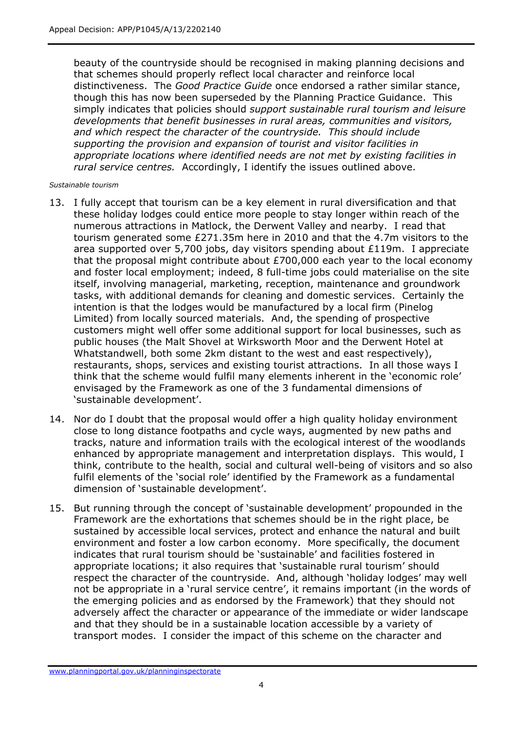beauty of the countryside should be recognised in making planning decisions and that schemes should properly reflect local character and reinforce local distinctiveness. The *Good Practice Guide* once endorsed a rather similar stance, though this has now been superseded by the Planning Practice Guidance. This simply indicates that policies should *support sustainable rural tourism and leisure developments that benefit businesses in rural areas, communities and visitors, and which respect the character of the countryside. This should include supporting the provision and expansion of tourist and visitor facilities in appropriate locations where identified needs are not met by existing facilities in rural service centres.* Accordingly, I identify the issues outlined above.

#### *Sustainable tourism*

- 13. I fully accept that tourism can be a key element in rural diversification and that these holiday lodges could entice more people to stay longer within reach of the numerous attractions in Matlock, the Derwent Valley and nearby. I read that tourism generated some £271.35m here in 2010 and that the 4.7m visitors to the area supported over 5,700 jobs, day visitors spending about £119m. I appreciate that the proposal might contribute about £700,000 each year to the local economy and foster local employment; indeed, 8 full-time jobs could materialise on the site itself, involving managerial, marketing, reception, maintenance and groundwork tasks, with additional demands for cleaning and domestic services. Certainly the intention is that the lodges would be manufactured by a local firm (Pinelog Limited) from locally sourced materials. And, the spending of prospective customers might well offer some additional support for local businesses, such as public houses (the Malt Shovel at Wirksworth Moor and the Derwent Hotel at Whatstandwell, both some 2km distant to the west and east respectively), restaurants, shops, services and existing tourist attractions. In all those ways I think that the scheme would fulfil many elements inherent in the 'economic role' envisaged by the Framework as one of the 3 fundamental dimensions of 'sustainable development'.
- 14. Nor do I doubt that the proposal would offer a high quality holiday environment close to long distance footpaths and cycle ways, augmented by new paths and tracks, nature and information trails with the ecological interest of the woodlands enhanced by appropriate management and interpretation displays. This would, I think, contribute to the health, social and cultural well-being of visitors and so also fulfil elements of the 'social role' identified by the Framework as a fundamental dimension of 'sustainable development'.
- 15. But running through the concept of 'sustainable development' propounded in the Framework are the exhortations that schemes should be in the right place, be sustained by accessible local services, protect and enhance the natural and built environment and foster a low carbon economy. More specifically, the document indicates that rural tourism should be 'sustainable' and facilities fostered in appropriate locations; it also requires that 'sustainable rural tourism' should respect the character of the countryside. And, although 'holiday lodges' may well not be appropriate in a 'rural service centre', it remains important (in the words of the emerging policies and as endorsed by the Framework) that they should not adversely affect the character or appearance of the immediate or wider landscape and that they should be in a sustainable location accessible by a variety of transport modes. I consider the impact of this scheme on the character and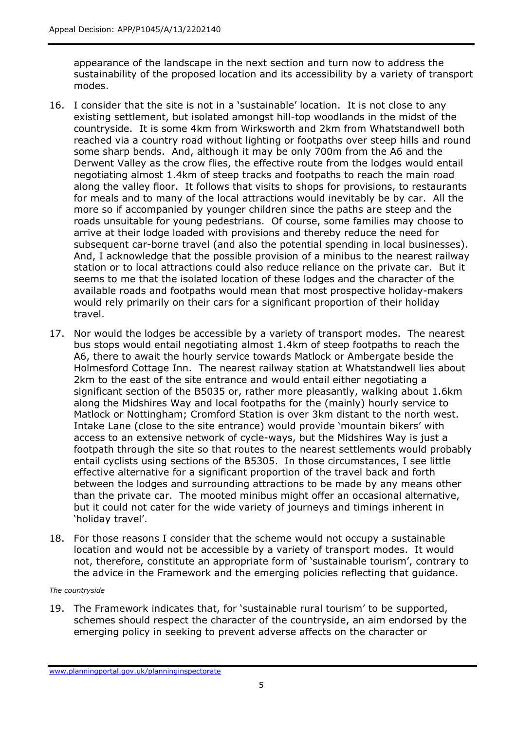appearance of the landscape in the next section and turn now to address the sustainability of the proposed location and its accessibility by a variety of transport modes.

- 16. I consider that the site is not in a 'sustainable' location. It is not close to any existing settlement, but isolated amongst hill-top woodlands in the midst of the countryside. It is some 4km from Wirksworth and 2km from Whatstandwell both reached via a country road without lighting or footpaths over steep hills and round some sharp bends. And, although it may be only 700m from the A6 and the Derwent Valley as the crow flies, the effective route from the lodges would entail negotiating almost 1.4km of steep tracks and footpaths to reach the main road along the valley floor. It follows that visits to shops for provisions, to restaurants for meals and to many of the local attractions would inevitably be by car. All the more so if accompanied by younger children since the paths are steep and the roads unsuitable for young pedestrians. Of course, some families may choose to arrive at their lodge loaded with provisions and thereby reduce the need for subsequent car-borne travel (and also the potential spending in local businesses). And, I acknowledge that the possible provision of a minibus to the nearest railway station or to local attractions could also reduce reliance on the private car. But it seems to me that the isolated location of these lodges and the character of the available roads and footpaths would mean that most prospective holiday-makers would rely primarily on their cars for a significant proportion of their holiday travel.
- 17. Nor would the lodges be accessible by a variety of transport modes. The nearest bus stops would entail negotiating almost 1.4km of steep footpaths to reach the A6, there to await the hourly service towards Matlock or Ambergate beside the Holmesford Cottage Inn. The nearest railway station at Whatstandwell lies about 2km to the east of the site entrance and would entail either negotiating a significant section of the B5035 or, rather more pleasantly, walking about 1.6km along the Midshires Way and local footpaths for the (mainly) hourly service to Matlock or Nottingham; Cromford Station is over 3km distant to the north west. Intake Lane (close to the site entrance) would provide 'mountain bikers' with access to an extensive network of cycle-ways, but the Midshires Way is just a footpath through the site so that routes to the nearest settlements would probably entail cyclists using sections of the B5305. In those circumstances, I see little effective alternative for a significant proportion of the travel back and forth between the lodges and surrounding attractions to be made by any means other than the private car. The mooted minibus might offer an occasional alternative, but it could not cater for the wide variety of journeys and timings inherent in 'holiday travel'.
- 18. For those reasons I consider that the scheme would not occupy a sustainable location and would not be accessible by a variety of transport modes. It would not, therefore, constitute an appropriate form of 'sustainable tourism', contrary to the advice in the Framework and the emerging policies reflecting that guidance.

#### *The countryside*

19. The Framework indicates that, for 'sustainable rural tourism' to be supported, schemes should respect the character of the countryside, an aim endorsed by the emerging policy in seeking to prevent adverse affects on the character or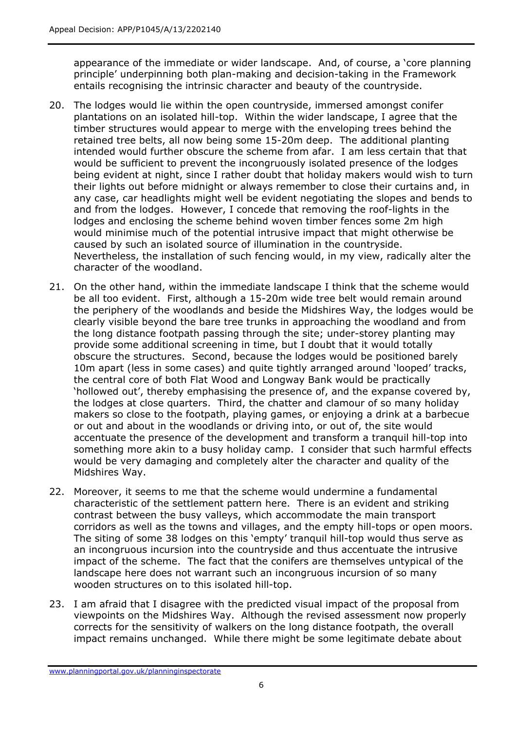appearance of the immediate or wider landscape. And, of course, a 'core planning principle' underpinning both plan-making and decision-taking in the Framework entails recognising the intrinsic character and beauty of the countryside.

- 20. The lodges would lie within the open countryside, immersed amongst conifer plantations on an isolated hill-top. Within the wider landscape, I agree that the timber structures would appear to merge with the enveloping trees behind the retained tree belts, all now being some 15-20m deep. The additional planting intended would further obscure the scheme from afar. I am less certain that that would be sufficient to prevent the incongruously isolated presence of the lodges being evident at night, since I rather doubt that holiday makers would wish to turn their lights out before midnight or always remember to close their curtains and, in any case, car headlights might well be evident negotiating the slopes and bends to and from the lodges. However, I concede that removing the roof-lights in the lodges and enclosing the scheme behind woven timber fences some 2m high would minimise much of the potential intrusive impact that might otherwise be caused by such an isolated source of illumination in the countryside. Nevertheless, the installation of such fencing would, in my view, radically alter the character of the woodland.
- 21. On the other hand, within the immediate landscape I think that the scheme would be all too evident. First, although a 15-20m wide tree belt would remain around the periphery of the woodlands and beside the Midshires Way, the lodges would be clearly visible beyond the bare tree trunks in approaching the woodland and from the long distance footpath passing through the site; under-storey planting may provide some additional screening in time, but I doubt that it would totally obscure the structures. Second, because the lodges would be positioned barely 10m apart (less in some cases) and quite tightly arranged around 'looped' tracks, the central core of both Flat Wood and Longway Bank would be practically 'hollowed out', thereby emphasising the presence of, and the expanse covered by, the lodges at close quarters. Third, the chatter and clamour of so many holiday makers so close to the footpath, playing games, or enjoying a drink at a barbecue or out and about in the woodlands or driving into, or out of, the site would accentuate the presence of the development and transform a tranquil hill-top into something more akin to a busy holiday camp. I consider that such harmful effects would be very damaging and completely alter the character and quality of the Midshires Way.
- 22. Moreover, it seems to me that the scheme would undermine a fundamental characteristic of the settlement pattern here. There is an evident and striking contrast between the busy valleys, which accommodate the main transport corridors as well as the towns and villages, and the empty hill-tops or open moors. The siting of some 38 lodges on this 'empty' tranquil hill-top would thus serve as an incongruous incursion into the countryside and thus accentuate the intrusive impact of the scheme. The fact that the conifers are themselves untypical of the landscape here does not warrant such an incongruous incursion of so many wooden structures on to this isolated hill-top.
- 23. I am afraid that I disagree with the predicted visual impact of the proposal from viewpoints on the Midshires Way. Although the revised assessment now properly corrects for the sensitivity of walkers on the long distance footpath, the overall impact remains unchanged. While there might be some legitimate debate about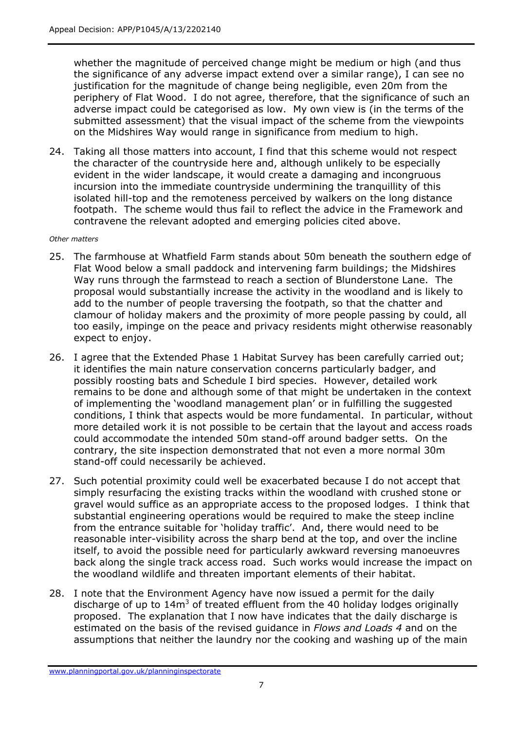whether the magnitude of perceived change might be medium or high (and thus the significance of any adverse impact extend over a similar range), I can see no justification for the magnitude of change being negligible, even 20m from the periphery of Flat Wood. I do not agree, therefore, that the significance of such an adverse impact could be categorised as low. My own view is (in the terms of the submitted assessment) that the visual impact of the scheme from the viewpoints on the Midshires Way would range in significance from medium to high.

24. Taking all those matters into account, I find that this scheme would not respect the character of the countryside here and, although unlikely to be especially evident in the wider landscape, it would create a damaging and incongruous incursion into the immediate countryside undermining the tranquillity of this isolated hill-top and the remoteness perceived by walkers on the long distance footpath. The scheme would thus fail to reflect the advice in the Framework and contravene the relevant adopted and emerging policies cited above.

#### *Other matters*

- 25. The farmhouse at Whatfield Farm stands about 50m beneath the southern edge of Flat Wood below a small paddock and intervening farm buildings; the Midshires Way runs through the farmstead to reach a section of Blunderstone Lane. The proposal would substantially increase the activity in the woodland and is likely to add to the number of people traversing the footpath, so that the chatter and clamour of holiday makers and the proximity of more people passing by could, all too easily, impinge on the peace and privacy residents might otherwise reasonably expect to enjoy.
- 26. I agree that the Extended Phase 1 Habitat Survey has been carefully carried out; it identifies the main nature conservation concerns particularly badger, and possibly roosting bats and Schedule I bird species. However, detailed work remains to be done and although some of that might be undertaken in the context of implementing the 'woodland management plan' or in fulfilling the suggested conditions, I think that aspects would be more fundamental. In particular, without more detailed work it is not possible to be certain that the layout and access roads could accommodate the intended 50m stand-off around badger setts. On the contrary, the site inspection demonstrated that not even a more normal 30m stand-off could necessarily be achieved.
- 27. Such potential proximity could well be exacerbated because I do not accept that simply resurfacing the existing tracks within the woodland with crushed stone or gravel would suffice as an appropriate access to the proposed lodges. I think that substantial engineering operations would be required to make the steep incline from the entrance suitable for 'holiday traffic'. And, there would need to be reasonable inter-visibility across the sharp bend at the top, and over the incline itself, to avoid the possible need for particularly awkward reversing manoeuvres back along the single track access road. Such works would increase the impact on the woodland wildlife and threaten important elements of their habitat.
- 28. I note that the Environment Agency have now issued a permit for the daily discharge of up to  $14\text{m}^3$  of treated effluent from the 40 holiday lodges originally proposed. The explanation that I now have indicates that the daily discharge is estimated on the basis of the revised guidance in *Flows and Loads 4* and on the assumptions that neither the laundry nor the cooking and washing up of the main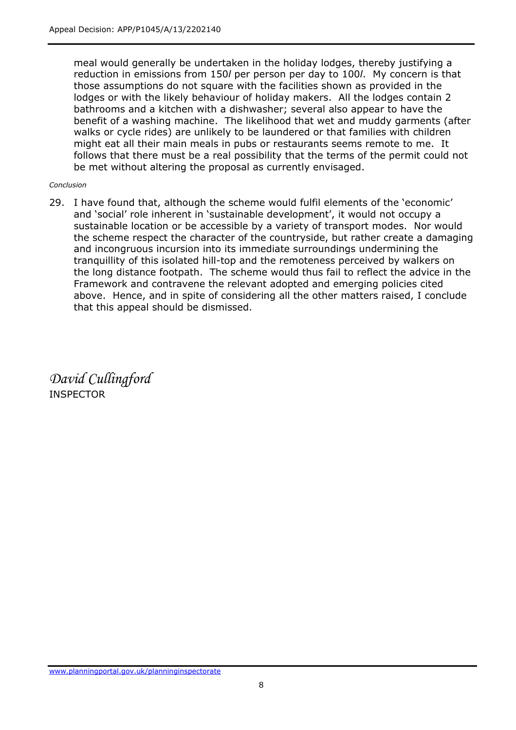meal would generally be undertaken in the holiday lodges, thereby justifying a reduction in emissions from 150*l* per person per day to 100*l*. My concern is that those assumptions do not square with the facilities shown as provided in the lodges or with the likely behaviour of holiday makers. All the lodges contain 2 bathrooms and a kitchen with a dishwasher; several also appear to have the benefit of a washing machine. The likelihood that wet and muddy garments (after walks or cycle rides) are unlikely to be laundered or that families with children might eat all their main meals in pubs or restaurants seems remote to me. It follows that there must be a real possibility that the terms of the permit could not be met without altering the proposal as currently envisaged.

#### *Conclusion*

29. I have found that, although the scheme would fulfil elements of the 'economic' and 'social' role inherent in 'sustainable development', it would not occupy a sustainable location or be accessible by a variety of transport modes. Nor would the scheme respect the character of the countryside, but rather create a damaging and incongruous incursion into its immediate surroundings undermining the tranquillity of this isolated hill-top and the remoteness perceived by walkers on the long distance footpath. The scheme would thus fail to reflect the advice in the Framework and contravene the relevant adopted and emerging policies cited above. Hence, and in spite of considering all the other matters raised, I conclude that this appeal should be dismissed.

*David Cullingford*  INSPECTOR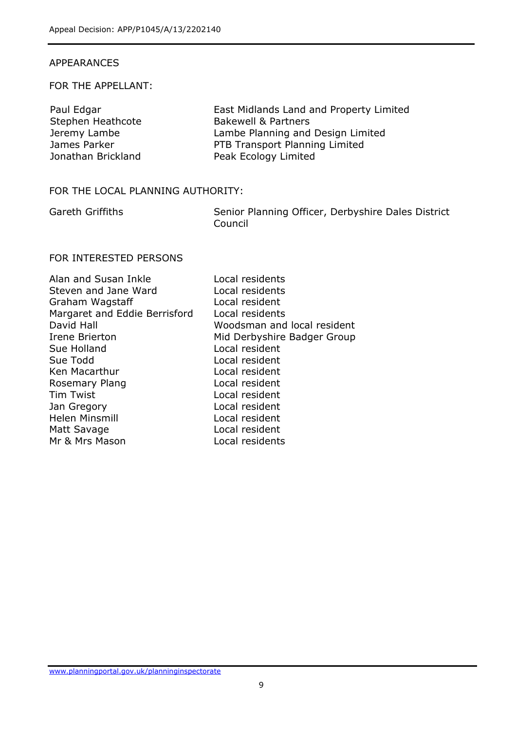### APPEARANCES

### FOR THE APPELLANT:

| Paul Edgar         | East Midlands Land and Property Limited |
|--------------------|-----------------------------------------|
| Stephen Heathcote  | <b>Bakewell &amp; Partners</b>          |
| Jeremy Lambe       | Lambe Planning and Design Limited       |
| James Parker       | PTB Transport Planning Limited          |
| Jonathan Brickland | Peak Ecology Limited                    |

### FOR THE LOCAL PLANNING AUTHORITY:

Gareth Griffiths Senior Planning Officer, Derbyshire Dales District Council

# FOR INTERESTED PERSONS

| Alan and Susan Inkle          | Local residents             |
|-------------------------------|-----------------------------|
| Steven and Jane Ward          | Local residents             |
| Graham Wagstaff               | Local resident              |
| Margaret and Eddie Berrisford | Local residents             |
| David Hall                    | Woodsman and local resident |
| Irene Brierton                | Mid Derbyshire Badger Group |
| Sue Holland                   | Local resident              |
| Sue Todd                      | Local resident              |
| Ken Macarthur                 | Local resident              |
| Rosemary Plang                | Local resident              |
| <b>Tim Twist</b>              | Local resident              |
| Jan Gregory                   | Local resident              |
| Helen Minsmill                | Local resident              |
| Matt Savage                   | Local resident              |
| Mr & Mrs Mason                | Local residents             |
|                               |                             |